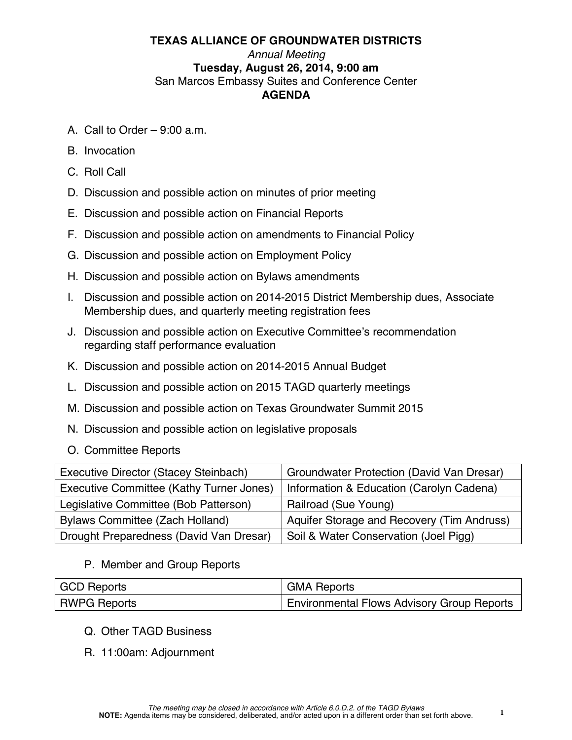# **TEXAS ALLIANCE OF GROUNDWATER DISTRICTS**  *Annual Meeting* **Tuesday, August 26, 2014, 9:00 am** San Marcos Embassy Suites and Conference Center **AGENDA**

- A. Call to Order 9:00 a.m.
- B. Invocation
- C. Roll Call
- D. Discussion and possible action on minutes of prior meeting
- E. Discussion and possible action on Financial Reports
- F. Discussion and possible action on amendments to Financial Policy
- G. Discussion and possible action on Employment Policy
- H. Discussion and possible action on Bylaws amendments
- I. Discussion and possible action on 2014-2015 District Membership dues, Associate Membership dues, and quarterly meeting registration fees
- J. Discussion and possible action on Executive Committee's recommendation regarding staff performance evaluation
- K. Discussion and possible action on 2014-2015 Annual Budget
- L. Discussion and possible action on 2015 TAGD quarterly meetings
- M. Discussion and possible action on Texas Groundwater Summit 2015
- N. Discussion and possible action on legislative proposals
- O. Committee Reports

| Executive Director (Stacey Steinbach)    | <b>Groundwater Protection (David Van Dresar)</b> |
|------------------------------------------|--------------------------------------------------|
| Executive Committee (Kathy Turner Jones) | Information & Education (Carolyn Cadena)         |
| Legislative Committee (Bob Patterson)    | Railroad (Sue Young)                             |
| Bylaws Committee (Zach Holland)          | Aquifer Storage and Recovery (Tim Andruss)       |
| Drought Preparedness (David Van Dresar)  | Soil & Water Conservation (Joel Pigg)            |

# P. Member and Group Reports

| GCD Reports  | <b>GMA Reports</b>                                |
|--------------|---------------------------------------------------|
| RWPG Reports | <b>Environmental Flows Advisory Group Reports</b> |

- Q. Other TAGD Business
- R. 11:00am: Adjournment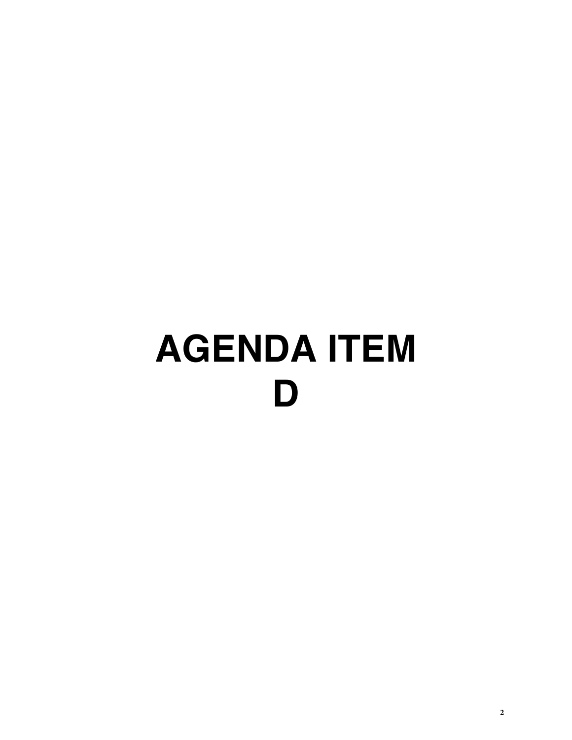# **AGENDA ITEM D**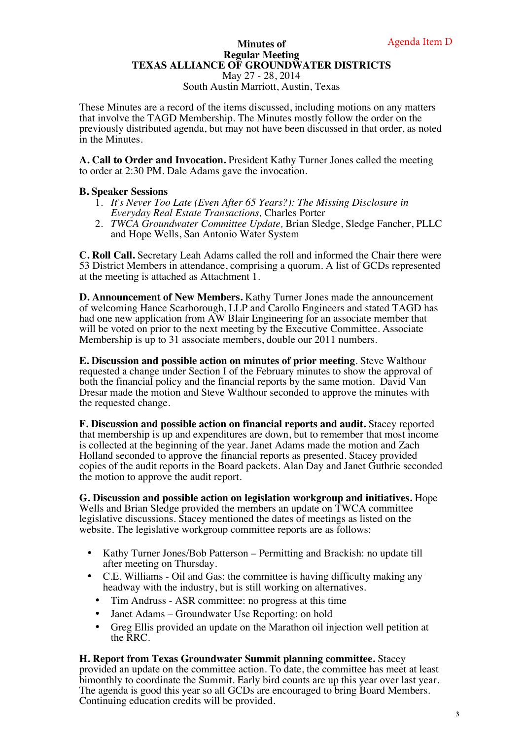#### **Minutes of Regular Meeting TEXAS ALLIANCE OF GROUNDWATER DISTRICTS**  May 27 - 28, 2014

South Austin Marriott, Austin, Texas

These Minutes are a record of the items discussed, including motions on any matters that involve the TAGD Membership. The Minutes mostly follow the order on the previously distributed agenda, but may not have been discussed in that order, as noted in the Minutes.

**A. Call to Order and Invocation.** President Kathy Turner Jones called the meeting to order at 2:30 PM. Dale Adams gave the invocation.

### **B. Speaker Sessions**

- 1. *It's Never Too Late (Even After 65 Years?): The Missing Disclosure in Everyday Real Estate Transactions,* Charles Porter
- 2. *TWCA Groundwater Committee Update,* Brian Sledge, Sledge Fancher, PLLC and Hope Wells, San Antonio Water System

**C. Roll Call.** Secretary Leah Adams called the roll and informed the Chair there were 53 District Members in attendance, comprising a quorum. A list of GCDs represented at the meeting is attached as Attachment 1.

**D. Announcement of New Members.** Kathy Turner Jones made the announcement of welcoming Hance Scarborough, LLP and Carollo Engineers and stated TAGD has had one new application from AW Blair Engineering for an associate member that will be voted on prior to the next meeting by the Executive Committee. Associate Membership is up to 31 associate members, double our 2011 numbers.

**E. Discussion and possible action on minutes of prior meeting**. Steve Walthour requested a change under Section I of the February minutes to show the approval of both the financial policy and the financial reports by the same motion. David Van Dresar made the motion and Steve Walthour seconded to approve the minutes with the requested change.

**F. Discussion and possible action on financial reports and audit.** Stacey reported that membership is up and expenditures are down, but to remember that most income is collected at the beginning of the year. Janet Adams made the motion and Zach Holland seconded to approve the financial reports as presented. Stacey provided copies of the audit reports in the Board packets. Alan Day and Janet Guthrie seconded the motion to approve the audit report.

**G. Discussion and possible action on legislation workgroup and initiatives.** Hope Wells and Brian Sledge provided the members an update on TWCA committee legislative discussions. Stacey mentioned the dates of meetings as listed on the website. The legislative workgroup committee reports are as follows:

- Kathy Turner Jones/Bob Patterson Permitting and Brackish: no update till after meeting on Thursday.
- C.E. Williams Oil and Gas: the committee is having difficulty making any headway with the industry, but is still working on alternatives.
	- Tim Andruss ASR committee: no progress at this time
	- Janet Adams Groundwater Use Reporting: on hold
	- Greg Ellis provided an update on the Marathon oil injection well petition at the RRC.

**H. Report from Texas Groundwater Summit planning committee.** Stacey

provided an update on the committee action. To date, the committee has meet at least bimonthly to coordinate the Summit. Early bird counts are up this year over last year. The agenda is good this year so all GCDs are encouraged to bring Board Members. Continuing education credits will be provided.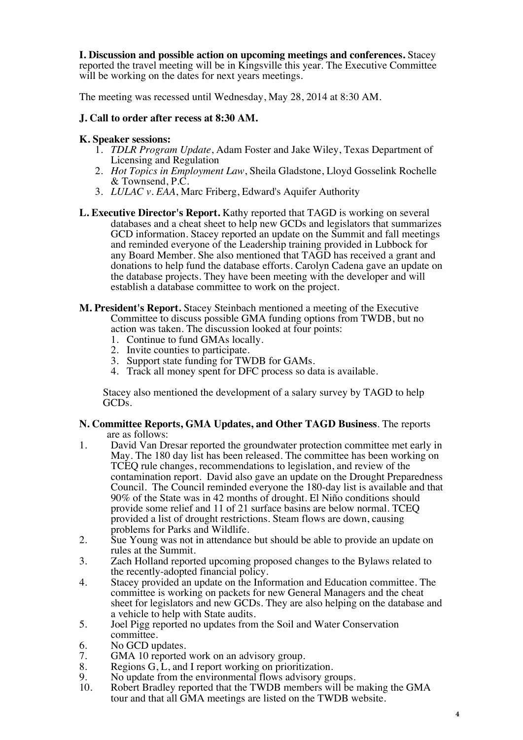**I. Discussion and possible action on upcoming meetings and conferences.** Stacey reported the travel meeting will be in Kingsville this year. The Executive Committee will be working on the dates for next years meetings.

The meeting was recessed until Wednesday, May 28, 2014 at 8:30 AM.

# **J. Call to order after recess at 8:30 AM.**

### **K. Speaker sessions:**

- 1. *TDLR Program Update*, Adam Foster and Jake Wiley, Texas Department of Licensing and Regulation
- 2. *Hot Topics in Employment Law*, Sheila Gladstone, Lloyd Gosselink Rochelle & Townsend, P.C.
- 3. *LULAC v. EAA*, Marc Friberg, Edward's Aquifer Authority
- **L. Executive Director's Report.** Kathy reported that TAGD is working on several databases and a cheat sheet to help new GCDs and legislators that summarizes GCD information. Stacey reported an update on the Summit and fall meetings and reminded everyone of the Leadership training provided in Lubbock for any Board Member. She also mentioned that TAGD has received a grant and donations to help fund the database efforts. Carolyn Cadena gave an update on the database projects. They have been meeting with the developer and will establish a database committee to work on the project.
- **M. President's Report.** Stacey Steinbach mentioned a meeting of the Executive Committee to discuss possible GMA funding options from TWDB, but no action was taken. The discussion looked at four points:
	- 1. Continue to fund GMAs locally.
	- 2. Invite counties to participate.
	- 3. Support state funding for TWDB for GAMs.
	- 4. Track all money spent for DFC process so data is available.

Stacey also mentioned the development of a salary survey by TAGD to help GCDs.

### **N. Committee Reports, GMA Updates, and Other TAGD Business**. The reports are as follows:

- 1. David Van Dresar reported the groundwater protection committee met early in May. The 180 day list has been released. The committee has been working on TCEQ rule changes, recommendations to legislation, and review of the contamination report. David also gave an update on the Drought Preparedness Council. The Council reminded everyone the 180-day list is available and that 90% of the State was in 42 months of drought. El Niño conditions should provide some relief and 11 of 21 surface basins are below normal. TCEQ provided a list of drought restrictions. Steam flows are down, causing problems for Parks and Wildlife.
- 2. Sue Young was not in attendance but should be able to provide an update on rules at the Summit.
- 3. Zach Holland reported upcoming proposed changes to the Bylaws related to the recently-adopted financial policy.
- 4. Stacey provided an update on the Information and Education committee. The committee is working on packets for new General Managers and the cheat sheet for legislators and new GCDs. They are also helping on the database and a vehicle to help with State audits.
- 5. Joel Pigg reported no updates from the Soil and Water Conservation committee.
- 6. No GCD updates.<br>7. GMA 10 reported
- GMA 10 reported work on an advisory group.
- 8. Regions  $G, L$ , and I report working on prioritization.<br>9. No update from the environmental flows advisory gre
- 9. No update from the environmental flows advisory groups.<br>10. Robert Bradlev reported that the TWDB members will be
- Robert Bradley reported that the TWDB members will be making the GMA tour and that all GMA meetings are listed on the TWDB website.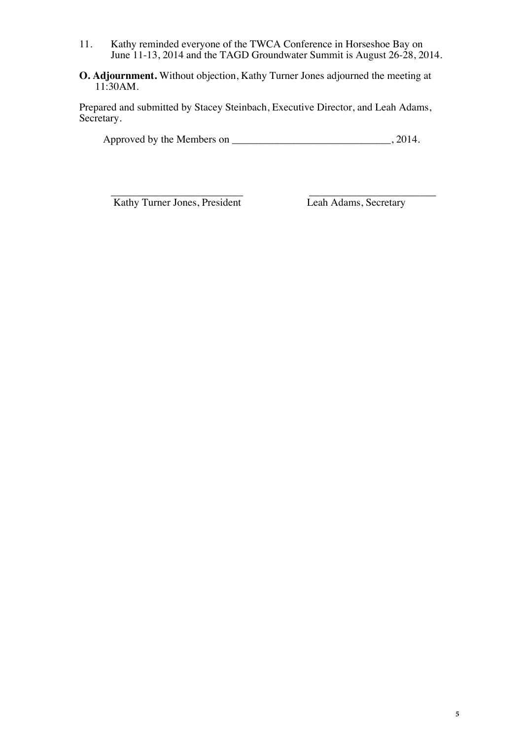- 11. Kathy reminded everyone of the TWCA Conference in Horseshoe Bay on June 11-13, 2014 and the TAGD Groundwater Summit is August 26-28, 2014.
- **O. Adjournment.** Without objection, Kathy Turner Jones adjourned the meeting at 11:30AM.

Prepared and submitted by Stacey Steinbach, Executive Director, and Leah Adams, Secretary.

Approved by the Members on \_\_\_\_\_\_\_\_\_\_\_\_\_\_\_\_\_\_\_\_\_\_\_\_\_\_\_\_\_\_, 2014.

\_\_\_\_\_\_\_\_\_\_\_\_\_\_\_\_\_\_\_\_\_\_\_\_\_ \_\_\_\_\_\_\_\_\_\_\_\_\_\_\_\_\_\_\_\_\_\_\_\_ Kathy Turner Jones, President Leah Adams, Secretary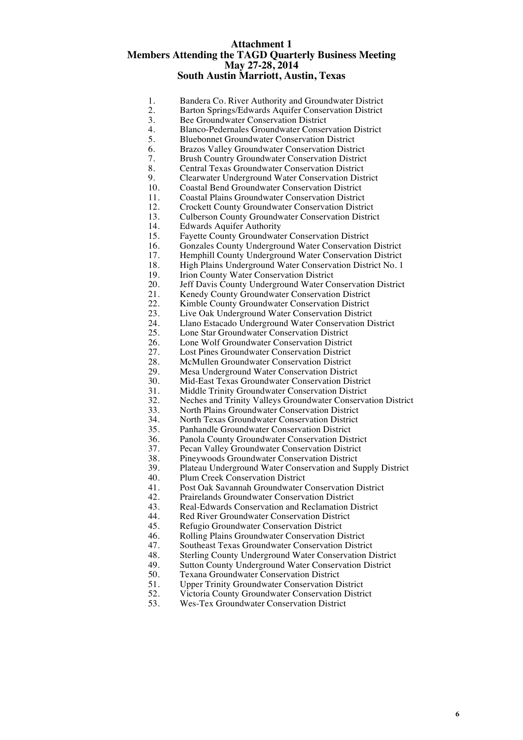#### **Attachment 1 Members Attending the TAGD Quarterly Business Meeting May 27-28, 2014 South Austin Marriott, Austin, Texas**

- 1. Bandera Co. River Authority and Groundwater District<br>2. Barton Springs/Edwards Aquifer Conservation District
- 2. Barton Springs/Edwards Aquifer Conservation District<br>3. Bee Groundwater Conservation District
- 3. Bee Groundwater Conservation District<br>4 Blanco-Pedernales Groundwater Conser
- 4. Blanco-Pedernales Groundwater Conservation District<br>5. Bluebonnet Groundwater Conservation District
- 5. Bluebonnet Groundwater Conservation District<br>6. Brazos Valley Groundwater Conservation Distr
- 6. Brazos Valley Groundwater Conservation District<br>7. Brush Country Groundwater Conservation District
- 7. Brush Country Groundwater Conservation District
- 8. Central Texas Groundwater Conservation District<br>9. Clearwater Underground Water Conservation Dist
- 9. Clearwater Underground Water Conservation District<br>10. Coastal Bend Groundwater Conservation District
- 10. Coastal Bend Groundwater Conservation District<br>11. Coastal Plains Groundwater Conservation Distric
- 11. Coastal Plains Groundwater Conservation District<br>12. Crockett County Groundwater Conservation Distri
- 12. Crockett County Groundwater Conservation District<br>13. Culberson County Groundwater Conservation Distric
- 13. Culberson County Groundwater Conservation District<br>14. Edwards Aquifer Authority
- 14. Edwards Aquifer Authority<br>15. Fayette County Groundwate
- 15. Fayette County Groundwater Conservation District<br>16. Gonzales County Underground Water Conservation
- 16. Gonzales County Underground Water Conservation District<br>17. Hemphill County Underground Water Conservation District
- 17. Hemphill County Underground Water Conservation District 18. High Plains Underground Water Conservation District No. 1
- 18. High Plains Underground Water Conservation District No. 1<br>19. Irion County Water Conservation District
- 19. Irion County Water Conservation District<br>20. Jeff Davis County Underground Water Co
- 20. Jeff Davis County Underground Water Conservation District<br>21. Kenedy County Groundwater Conservation District
- 21. Kenedy County Groundwater Conservation District<br>22. Kimble County Groundwater Conservation District
- 22. Kimble County Groundwater Conservation District<br>23. Live Oak Underground Water Conservation District
- 23. Live Oak Underground Water Conservation District<br>24. Llano Estacado Underground Water Conservation Di
- 24. Llano Estacado Underground Water Conservation District<br>25. Lone Star Groundwater Conservation District
- 25. Lone Star Groundwater Conservation District<br>26. Lone Wolf Groundwater Conservation Distric
- 26. Lone Wolf Groundwater Conservation District<br>27. Lost Pines Groundwater Conservation District
- 27. Lost Pines Groundwater Conservation District<br>28. McMullen Groundwater Conservation District
- 28. McMullen Groundwater Conservation District<br>29. Mesa Underground Water Conservation Distric
- 29. Mesa Underground Water Conservation District<br>30. Mid-East Texas Groundwater Conservation Dist
- 30. Mid-East Texas Groundwater Conservation District
- 31. Middle Trinity Groundwater Conservation District<br>32. Neches and Trinity Valleys Groundwater Conserva
- 32. Neches and Trinity Valleys Groundwater Conservation District
- 33. North Plains Groundwater Conservation District
- 34. North Texas Groundwater Conservation District
- 35. Panhandle Groundwater Conservation District
- 36. Panola County Groundwater Conservation District
- 37. Pecan Valley Groundwater Conservation District
- 38. Pineywoods Groundwater Conservation District
- 39. Plateau Underground Water Conservation and Supply District
- 
- 40. Plum Creek Conservation District<br>41. Post Oak Savannah Groundwater 41. Post Oak Savannah Groundwater Conservation District<br>42. Prairelands Groundwater Conservation District
- 42. Prairelands Groundwater Conservation District<br>43 Real-Edwards Conservation and Reclamation D
- 43. Real-Edwards Conservation and Reclamation District<br>44 Red River Groundwater Conservation District
- 44. Red River Groundwater Conservation District<br>45 Refugio Groundwater Conservation District
- 45. Refugio Groundwater Conservation District
- 46. Rolling Plains Groundwater Conservation District
- 47. Southeast Texas Groundwater Conservation District<br>48. Sterling County Underground Water Conservation D
- 48. Sterling County Underground Water Conservation District<br>49. Sutton County Underground Water Conservation District
- 49. Sutton County Underground Water Conservation District<br>50. Texana Groundwater Conservation District
- 50. Texana Groundwater Conservation District<br>51. Upper Trinity Groundwater Conservation D
- 51. Upper Trinity Groundwater Conservation District<br>52. Victoria County Groundwater Conservation Distri
- 52. Victoria County Groundwater Conservation District<br>53. Wes-Tex Groundwater Conservation District
- 53. Wes-Tex Groundwater Conservation District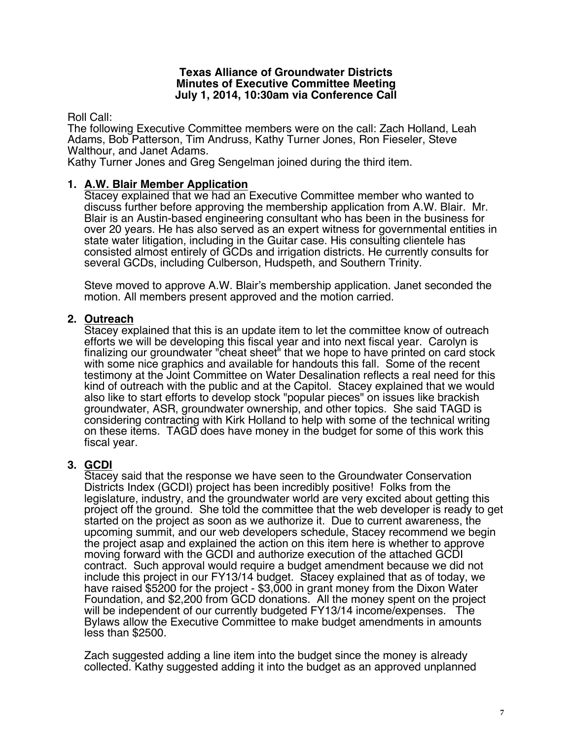### **Texas Alliance of Groundwater Districts Minutes of Executive Committee Meeting July 1, 2014, 10:30am via Conference Call**

Roll Call:

The following Executive Committee members were on the call: Zach Holland, Leah Adams, Bob Patterson, Tim Andruss, Kathy Turner Jones, Ron Fieseler, Steve Walthour, and Janet Adams.

Kathy Turner Jones and Greg Sengelman joined during the third item.

# **1. A.W. Blair Member Application**

Stacey explained that we had an Executive Committee member who wanted to discuss further before approving the membership application from A.W. Blair. Mr. Blair is an Austin-based engineering consultant who has been in the business for over 20 years. He has also served as an expert witness for governmental entities in state water litigation, including in the Guitar case. His consulting clientele has consisted almost entirely of GCDs and irrigation districts. He currently consults for several GCDs, including Culberson, Hudspeth, and Southern Trinity.

Steve moved to approve A.W. Blair's membership application. Janet seconded the motion. All members present approved and the motion carried.

# **2. Outreach**

Stacey explained that this is an update item to let the committee know of outreach efforts we will be developing this fiscal year and into next fiscal year. Carolyn is finalizing our groundwater "cheat sheet" that we hope to have printed on card stock with some nice graphics and available for handouts this fall. Some of the recent testimony at the Joint Committee on Water Desalination reflects a real need for this kind of outreach with the public and at the Capitol. Stacey explained that we would also like to start efforts to develop stock "popular pieces" on issues like brackish groundwater, ASR, groundwater ownership, and other topics. She said TAGD is considering contracting with Kirk Holland to help with some of the technical writing on these items. TAGD does have money in the budget for some of this work this fiscal year.

# **3. GCDI**

Stacey said that the response we have seen to the Groundwater Conservation Districts Index (GCDI) project has been incredibly positive! Folks from the legislature, industry, and the groundwater world are very excited about getting this project off the ground. She told the committee that the web developer is ready to get started on the project as soon as we authorize it. Due to current awareness, the upcoming summit, and our web developers schedule, Stacey recommend we begin the project asap and explained the action on this item here is whether to approve moving forward with the GCDI and authorize execution of the attached GCDI contract. Such approval would require a budget amendment because we did not include this project in our FY13/14 budget. Stacey explained that as of today, we have raised \$5200 for the project - \$3,000 in grant money from the Dixon Water Foundation, and \$2,200 from GCD donations. All the money spent on the project will be independent of our currently budgeted FY13/14 income/expenses. The Bylaws allow the Executive Committee to make budget amendments in amounts less than \$2500.

Zach suggested adding a line item into the budget since the money is already collected. Kathy suggested adding it into the budget as an approved unplanned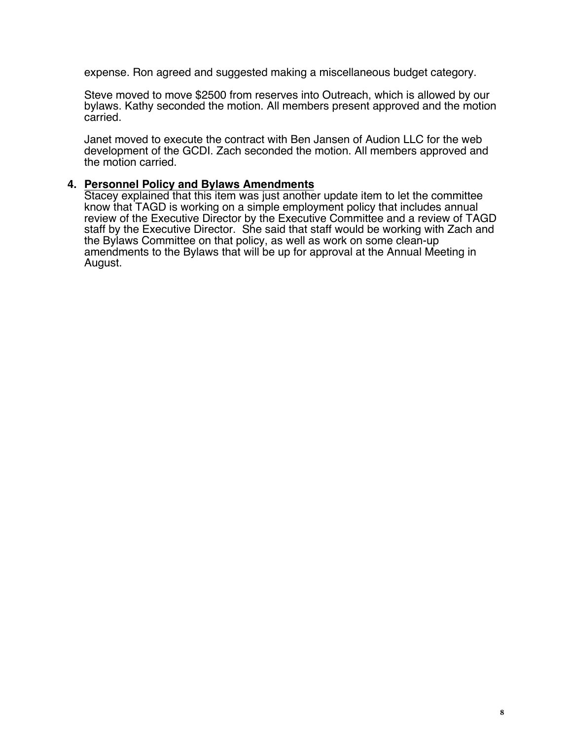expense. Ron agreed and suggested making a miscellaneous budget category.

Steve moved to move \$2500 from reserves into Outreach, which is allowed by our bylaws. Kathy seconded the motion. All members present approved and the motion carried.

Janet moved to execute the contract with Ben Jansen of Audion LLC for the web development of the GCDI. Zach seconded the motion. All members approved and the motion carried.

# **4. Personnel Policy and Bylaws Amendments**

Stacey explained that this item was just another update item to let the committee know that TAGD is working on a simple employment policy that includes annual review of the Executive Director by the Executive Committee and a review of TAGD staff by the Executive Director. She said that staff would be working with Zach and the Bylaws Committee on that policy, as well as work on some clean-up amendments to the Bylaws that will be up for approval at the Annual Meeting in August.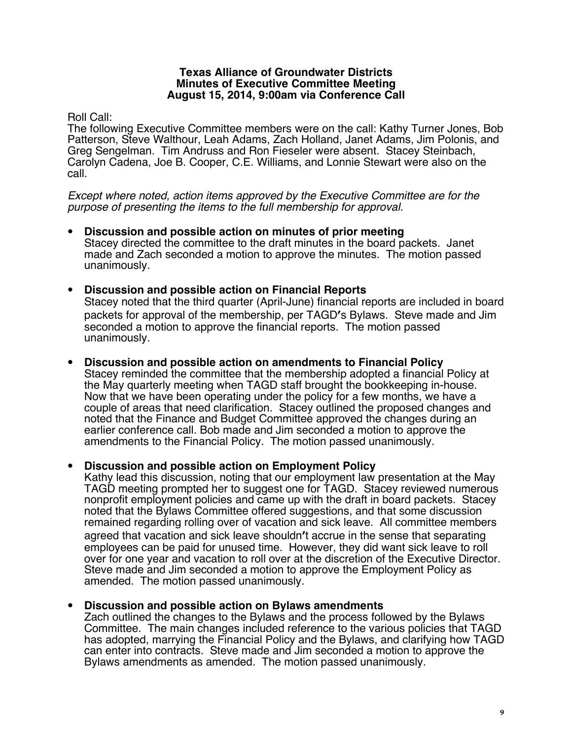### **Texas Alliance of Groundwater Districts Minutes of Executive Committee Meeting August 15, 2014, 9:00am via Conference Call**

# Roll Call:

The following Executive Committee members were on the call: Kathy Turner Jones, Bob Patterson, Steve Walthour, Leah Adams, Zach Holland, Janet Adams, Jim Polonis, and Greg Sengelman. Tim Andruss and Ron Fieseler were absent. Stacey Steinbach, Carolyn Cadena, Joe B. Cooper, C.E. Williams, and Lonnie Stewart were also on the call.

*Except where noted, action items approved by the Executive Committee are for the purpose of presenting the items to the full membership for approval.* 

- **Discussion and possible action on minutes of prior meeting** Stacey directed the committee to the draft minutes in the board packets. Janet made and Zach seconded a motion to approve the minutes. The motion passed unanimously.
- **Discussion and possible action on Financial Reports** Stacey noted that the third quarter (April-June) financial reports are included in board packets for approval of the membership, per TAGD's Bylaws. Steve made and Jim seconded a motion to approve the financial reports. The motion passed unanimously.
- **Discussion and possible action on amendments to Financial Policy** Stacey reminded the committee that the membership adopted a financial Policy at the May quarterly meeting when TAGD staff brought the bookkeeping in-house. Now that we have been operating under the policy for a few months, we have a couple of areas that need clarification. Stacey outlined the proposed changes and noted that the Finance and Budget Committee approved the changes during an earlier conference call. Bob made and Jim seconded a motion to approve the amendments to the Financial Policy. The motion passed unanimously.

# • **Discussion and possible action on Employment Policy**

Kathy lead this discussion, noting that our employment law presentation at the May TAGD meeting prompted her to suggest one for TAGD. Stacey reviewed numerous nonprofit employment policies and came up with the draft in board packets. Stacey noted that the Bylaws Committee offered suggestions, and that some discussion remained regarding rolling over of vacation and sick leave. All committee members agreed that vacation and sick leave shouldn't accrue in the sense that separating employees can be paid for unused time. However, they did want sick leave to roll over for one year and vacation to roll over at the discretion of the Executive Director. Steve made and Jim seconded a motion to approve the Employment Policy as amended. The motion passed unanimously.

# • **Discussion and possible action on Bylaws amendments**

Zach outlined the changes to the Bylaws and the process followed by the Bylaws Committee. The main changes included reference to the various policies that TAGD has adopted, marrying the Financial Policy and the Bylaws, and clarifying how TAGD can enter into contracts. Steve made and Jim seconded a motion to approve the Bylaws amendments as amended. The motion passed unanimously.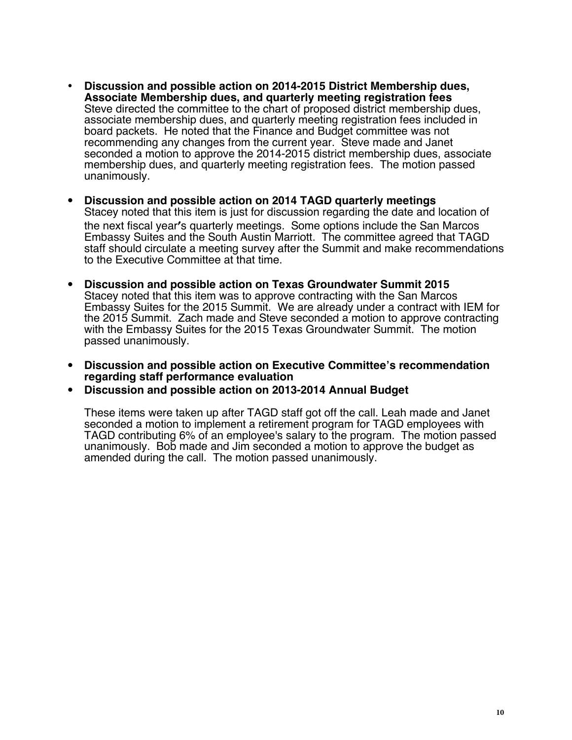- **Discussion and possible action on 2014-2015 District Membership dues, Associate Membership dues, and quarterly meeting registration fees** Steve directed the committee to the chart of proposed district membership dues, associate membership dues, and quarterly meeting registration fees included in board packets. He noted that the Finance and Budget committee was not recommending any changes from the current year. Steve made and Janet seconded a motion to approve the 2014-2015 district membership dues, associate membership dues, and quarterly meeting registration fees. The motion passed unanimously.
- **Discussion and possible action on 2014 TAGD quarterly meetings** Stacey noted that this item is just for discussion regarding the date and location of the next fiscal year's quarterly meetings. Some options include the San Marcos Embassy Suites and the South Austin Marriott. The committee agreed that TAGD staff should circulate a meeting survey after the Summit and make recommendations to the Executive Committee at that time.
- **Discussion and possible action on Texas Groundwater Summit 2015** Stacey noted that this item was to approve contracting with the San Marcos Embassy Suites for the 2015 Summit. We are already under a contract with IEM for the 2015 Summit. Zach made and Steve seconded a motion to approve contracting with the Embassy Suites for the 2015 Texas Groundwater Summit. The motion passed unanimously.
- **Discussion and possible action on Executive Committee's recommendation regarding staff performance evaluation**
- **Discussion and possible action on 2013-2014 Annual Budget**

These items were taken up after TAGD staff got off the call. Leah made and Janet seconded a motion to implement a retirement program for TAGD employees with TAGD contributing 6% of an employee's salary to the program. The motion passed unanimously. Bob made and Jim seconded a motion to approve the budget as amended during the call. The motion passed unanimously.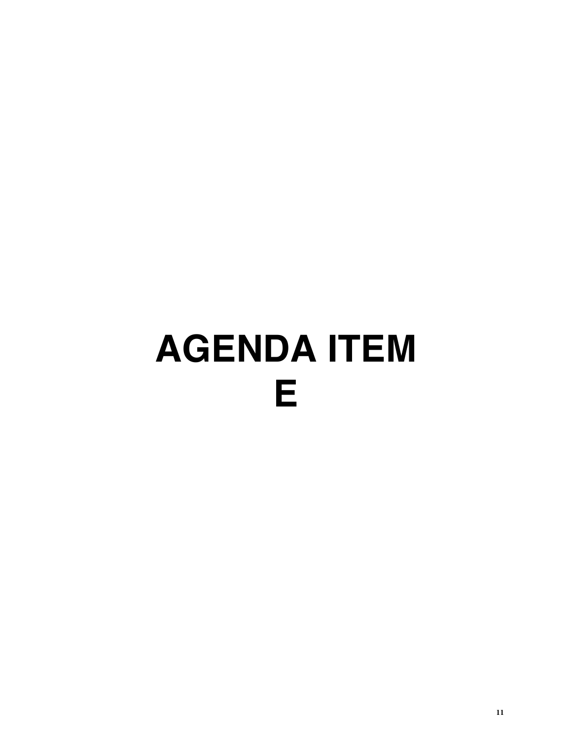# **AGENDA ITEM E**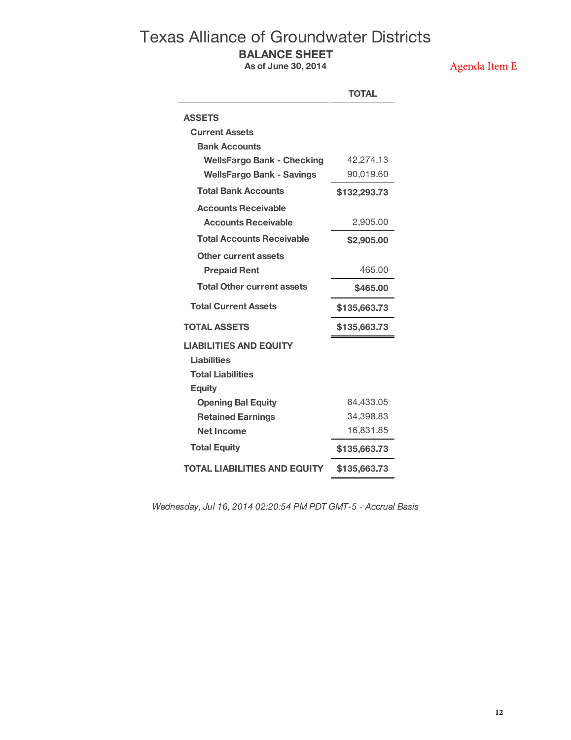# Texas Alliance of Groundwater Districts **BALANCE SHEET**

**As of June 30, 2014**

Agenda Item E

|                                     | <b>TOTAL</b> |
|-------------------------------------|--------------|
| <b>ASSETS</b>                       |              |
| <b>Current Assets</b>               |              |
| <b>Bank Accounts</b>                |              |
| <b>WellsFargo Bank - Checking</b>   | 42,274.13    |
| <b>WellsFargo Bank - Savings</b>    | 90,019.60    |
| <b>Total Bank Accounts</b>          | \$132,293.73 |
| <b>Accounts Receivable</b>          |              |
| <b>Accounts Receivable</b>          | 2,905.00     |
| <b>Total Accounts Receivable</b>    | \$2,905.00   |
| Other current assets                |              |
| <b>Prepaid Rent</b>                 | 465.00       |
| <b>Total Other current assets</b>   | \$465.00     |
| <b>Total Current Assets</b>         | \$135,663.73 |
| <b>TOTAL ASSETS</b>                 | \$135,663.73 |
| <b>LIABILITIES AND EQUITY</b>       |              |
| <b>Liabilities</b>                  |              |
| <b>Total Liabilities</b>            |              |
| <b>Equity</b>                       |              |
| <b>Opening Bal Equity</b>           | 84,433.05    |
| <b>Retained Earnings</b>            | 34,398.83    |
| Net Income                          | 16,831.85    |
| <b>Total Equity</b>                 | \$135,663.73 |
| <b>TOTAL LIABILITIES AND EQUITY</b> | \$135,663.73 |

*Wednesday, Jul 16, 2014 02:20:54 PM PDT GMT-5 - Accrual Basis*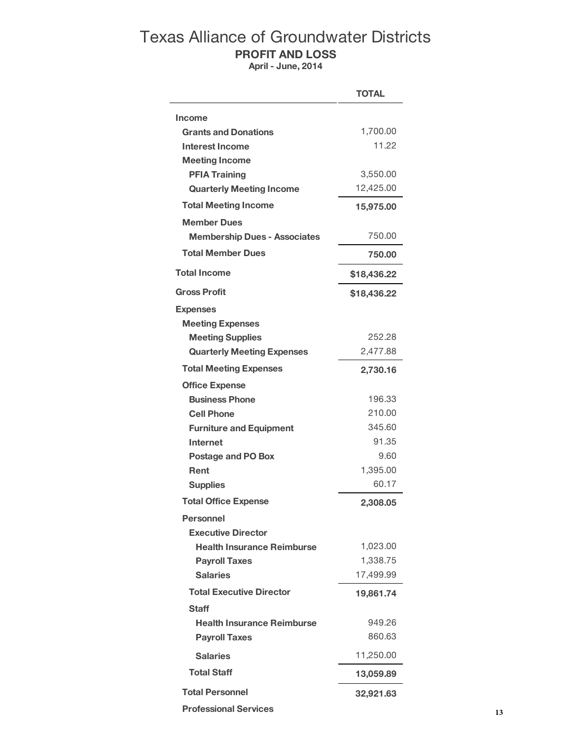# Texas Alliance of Groundwater Districts **PROFIT AND LOSS**

**April - June, 2014**

|                                     | <b>TOTAL</b> |
|-------------------------------------|--------------|
| <b>Income</b>                       |              |
| <b>Grants and Donations</b>         | 1,700.00     |
| Interest Income                     | 11.22        |
| <b>Meeting Income</b>               |              |
| <b>PFIA Training</b>                | 3,550.00     |
| <b>Quarterly Meeting Income</b>     | 12,425.00    |
| <b>Total Meeting Income</b>         | 15,975.00    |
| <b>Member Dues</b>                  |              |
| <b>Membership Dues - Associates</b> | 750.00       |
| <b>Total Member Dues</b>            | 750.00       |
| <b>Total Income</b>                 | \$18,436.22  |
| <b>Gross Profit</b>                 | \$18,436.22  |
| <b>Expenses</b>                     |              |
| <b>Meeting Expenses</b>             |              |
| <b>Meeting Supplies</b>             | 252.28       |
| <b>Quarterly Meeting Expenses</b>   | 2,477.88     |
| <b>Total Meeting Expenses</b>       | 2,730.16     |
| <b>Office Expense</b>               |              |
| <b>Business Phone</b>               | 196.33       |
| <b>Cell Phone</b>                   | 210.00       |
| <b>Furniture and Equipment</b>      | 345.60       |
| Internet                            | 91.35        |
| <b>Postage and PO Box</b>           | 9.60         |
| Rent                                | 1,395.00     |
| <b>Supplies</b>                     | 60.17        |
| <b>Total Office Expense</b>         | 2,308.05     |
| <b>Personnel</b>                    |              |
| <b>Executive Director</b>           |              |
| <b>Health Insurance Reimburse</b>   | 1,023.00     |
| <b>Payroll Taxes</b>                | 1,338.75     |
| <b>Salaries</b>                     | 17,499.99    |
| <b>Total Executive Director</b>     | 19,861.74    |
| Staff                               |              |
| <b>Health Insurance Reimburse</b>   | 949.26       |
| <b>Payroll Taxes</b>                | 860.63       |
| <b>Salaries</b>                     | 11,250.00    |
| <b>Total Staff</b>                  | 13,059.89    |
| <b>Total Personnel</b>              | 32,921.63    |

 **Professional Services**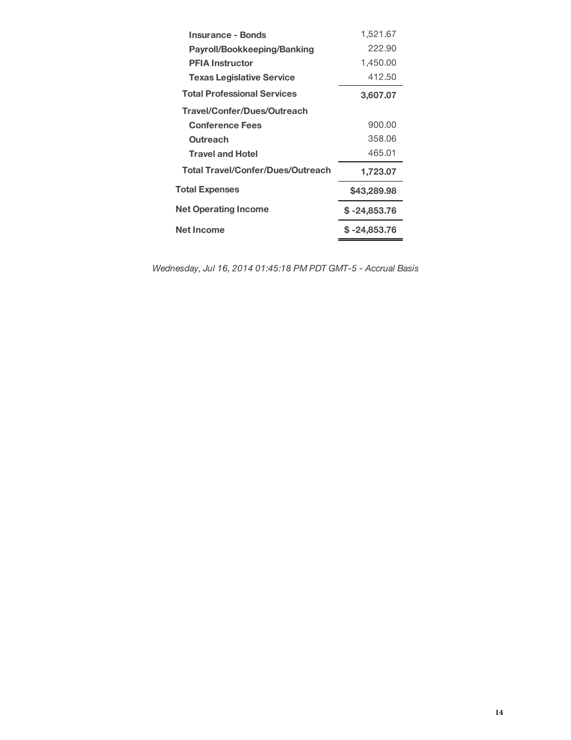| Insurance - Bonds                        | 1,521.67      |
|------------------------------------------|---------------|
| Payroll/Bookkeeping/Banking              | 222.90        |
| <b>PFIA Instructor</b>                   | 1,450.00      |
| <b>Texas Legislative Service</b>         | 412.50        |
| <b>Total Professional Services</b>       | 3,607.07      |
| Travel/Confer/Dues/Outreach              |               |
| <b>Conference Fees</b>                   | 900.00        |
| Outreach                                 | 358.06        |
| <b>Travel and Hotel</b>                  | 465.01        |
| <b>Total Travel/Confer/Dues/Outreach</b> | 1,723.07      |
| <b>Total Expenses</b>                    | \$43,289.98   |
| <b>Net Operating Income</b>              | \$ -24,853.76 |
| Net Income                               | \$ -24,853.76 |

*Wednesday, Jul 16, 2014 01:45:18 PM PDT GMT-5 - Accrual Basis*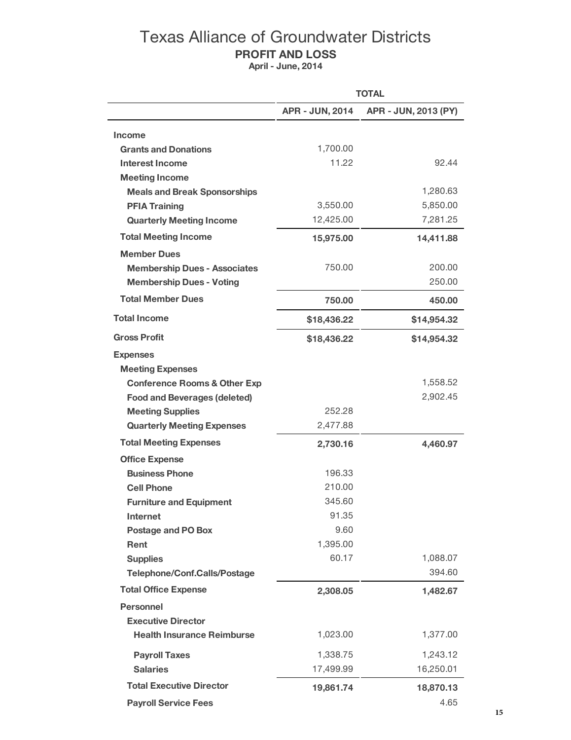# Texas Alliance of Groundwater Districts **PROFIT AND LOSS**

**April - June, 2014**

|                                         | <b>TOTAL</b>           |                      |
|-----------------------------------------|------------------------|----------------------|
|                                         | <b>APR - JUN, 2014</b> | APR - JUN, 2013 (PY) |
| <b>Income</b>                           |                        |                      |
| <b>Grants and Donations</b>             | 1,700.00               |                      |
| <b>Interest Income</b>                  | 11.22                  | 92.44                |
| <b>Meeting Income</b>                   |                        |                      |
| <b>Meals and Break Sponsorships</b>     |                        | 1,280.63             |
| <b>PFIA Training</b>                    | 3,550.00               | 5,850.00             |
| <b>Quarterly Meeting Income</b>         | 12,425.00              | 7,281.25             |
| <b>Total Meeting Income</b>             | 15,975.00              | 14,411.88            |
| <b>Member Dues</b>                      |                        |                      |
| <b>Membership Dues - Associates</b>     | 750.00                 | 200.00               |
| <b>Membership Dues - Voting</b>         |                        | 250.00               |
| <b>Total Member Dues</b>                | 750.00                 | 450.00               |
| <b>Total Income</b>                     | \$18,436.22            | \$14,954.32          |
| <b>Gross Profit</b>                     | \$18,436.22            | \$14,954.32          |
| <b>Expenses</b>                         |                        |                      |
| <b>Meeting Expenses</b>                 |                        |                      |
| <b>Conference Rooms &amp; Other Exp</b> |                        | 1,558.52             |
| <b>Food and Beverages (deleted)</b>     |                        | 2,902.45             |
| <b>Meeting Supplies</b>                 | 252.28                 |                      |
| <b>Quarterly Meeting Expenses</b>       | 2,477.88               |                      |
| <b>Total Meeting Expenses</b>           | 2,730.16               | 4,460.97             |
| <b>Office Expense</b>                   |                        |                      |
| <b>Business Phone</b>                   | 196.33                 |                      |
| <b>Cell Phone</b>                       | 210.00                 |                      |
| <b>Furniture and Equipment</b>          | 345.60                 |                      |
| Internet                                | 91.35                  |                      |
| Postage and PO Box                      | 9.60                   |                      |
| Rent                                    | 1,395.00               |                      |
| <b>Supplies</b>                         | 60.17                  | 1,088.07             |
| <b>Telephone/Conf.Calls/Postage</b>     |                        | 394.60               |
| <b>Total Office Expense</b>             | 2,308.05               | 1,482.67             |
| <b>Personnel</b>                        |                        |                      |
| <b>Executive Director</b>               |                        |                      |
| <b>Health Insurance Reimburse</b>       | 1,023.00               | 1,377.00             |
| <b>Payroll Taxes</b>                    | 1,338.75               | 1,243.12             |
| <b>Salaries</b>                         | 17,499.99              | 16,250.01            |
| <b>Total Executive Director</b>         | 19,861.74              | 18,870.13            |
| <b>Payroll Service Fees</b>             |                        | 4.65                 |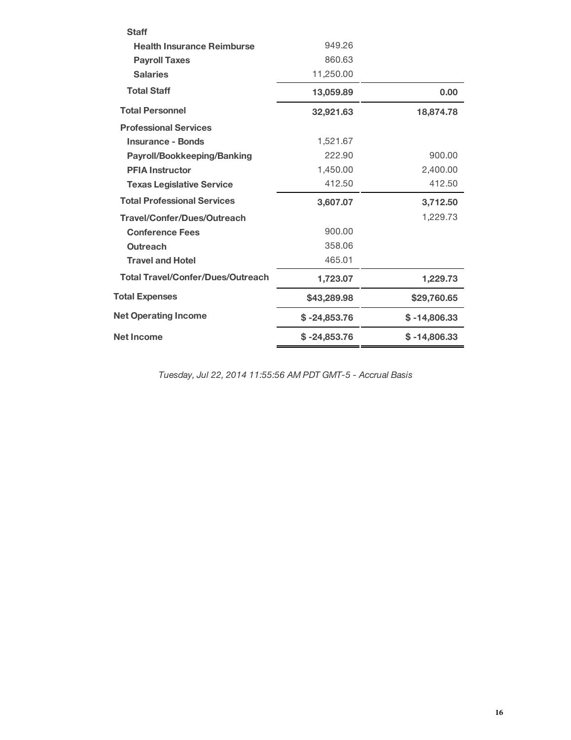| <b>Staff</b>                             |                |                |
|------------------------------------------|----------------|----------------|
| <b>Health Insurance Reimburse</b>        | 949.26         |                |
| <b>Payroll Taxes</b>                     | 860.63         |                |
| <b>Salaries</b>                          | 11,250.00      |                |
| <b>Total Staff</b>                       | 13,059.89      | 0.00           |
| <b>Total Personnel</b>                   | 32,921.63      | 18,874.78      |
| <b>Professional Services</b>             |                |                |
| <b>Insurance - Bonds</b>                 | 1,521.67       |                |
| <b>Payroll/Bookkeeping/Banking</b>       | 222.90         | 900.00         |
| <b>PFIA Instructor</b>                   | 1,450.00       | 2,400.00       |
| <b>Texas Legislative Service</b>         | 412.50         | 412.50         |
| <b>Total Professional Services</b>       | 3,607.07       | 3,712.50       |
| <b>Travel/Confer/Dues/Outreach</b>       |                | 1,229.73       |
| <b>Conference Fees</b>                   | 900.00         |                |
| <b>Outreach</b>                          | 358.06         |                |
| <b>Travel and Hotel</b>                  | 465.01         |                |
| <b>Total Travel/Confer/Dues/Outreach</b> | 1,723.07       | 1,229.73       |
| <b>Total Expenses</b>                    | \$43,289.98    | \$29,760.65    |
| <b>Net Operating Income</b>              | $$ -24,853.76$ | $$ -14,806.33$ |
| <b>Net Income</b>                        | $$ -24,853.76$ | $$ -14,806.33$ |

*Tuesday, Jul 22, 2014 11:55:56 AM PDT GMT-5 - Accrual Basis*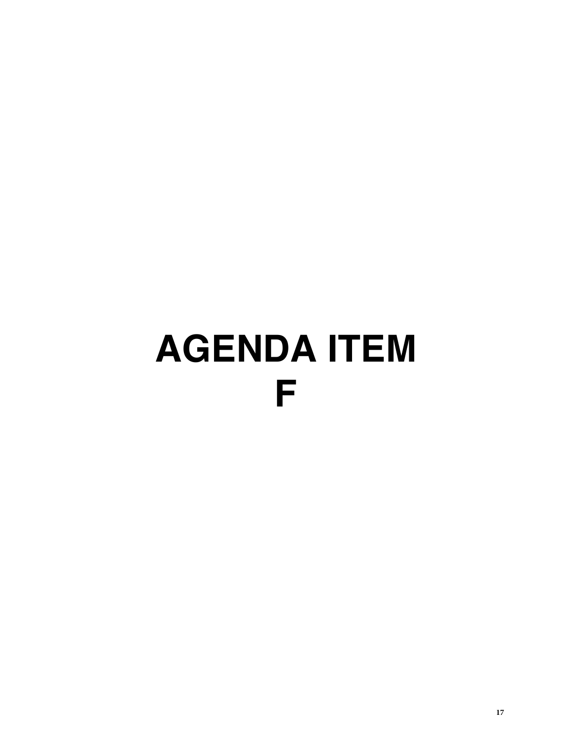# **AGENDA ITEM F**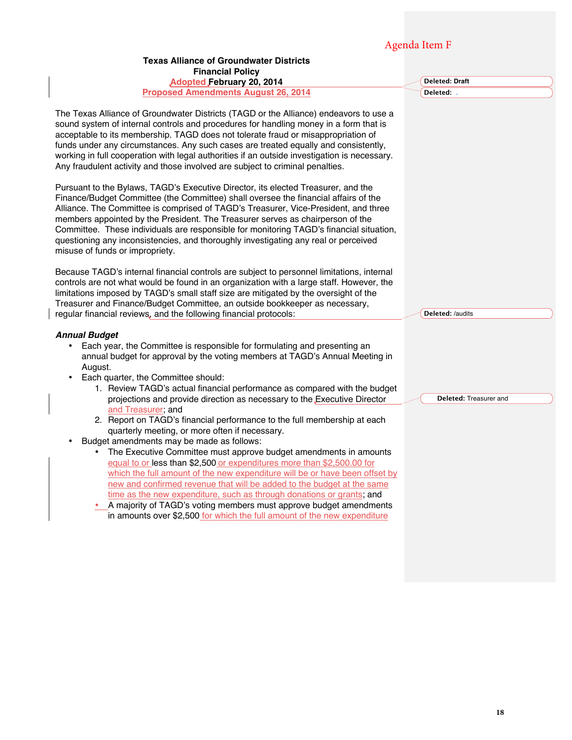# Agenda Item F

#### **Texas Alliance of Groundwater Districts Financial Policy Adopted February 20, 2014 Proposed Amendments August 26, 2014** The Texas Alliance of Groundwater Districts (TAGD or the Alliance) endeavors to use a sound system of internal controls and procedures for handling money in a form that is acceptable to its membership. TAGD does not tolerate fraud or misappropriation of funds under any circumstances. Any such cases are treated equally and consistently, working in full cooperation with legal authorities if an outside investigation is necessary. Any fraudulent activity and those involved are subject to criminal penalties. Pursuant to the Bylaws, TAGD's Executive Director, its elected Treasurer, and the Finance/Budget Committee (the Committee) shall oversee the financial affairs of the Alliance. The Committee is comprised of TAGD's Treasurer, Vice-President, and three members appointed by the President. The Treasurer serves as chairperson of the Committee. These individuals are responsible for monitoring TAGD's financial situation, questioning any inconsistencies, and thoroughly investigating any real or perceived misuse of funds or impropriety. Because TAGD's internal financial controls are subject to personnel limitations, internal controls are not what would be found in an organization with a large staff. However, the limitations imposed by TAGD's small staff size are mitigated by the oversight of the Treasurer and Finance/Budget Committee, an outside bookkeeper as necessary, regular financial reviews, and the following financial protocols: *Annual Budget* • Each year, the Committee is responsible for formulating and presenting an annual budget for approval by the voting members at TAGD's Annual Meeting in August. • Each quarter, the Committee should: 1. Review TAGD's actual financial performance as compared with the budget projections and provide direction as necessary to the Executive Director and Treasurer; and 2. Report on TAGD's financial performance to the full membership at each quarterly meeting, or more often if necessary. Budget amendments may be made as follows: • The Executive Committee must approve budget amendments in amounts equal to or less than \$2,500 or expenditures more than \$2,500.00 for which the full amount of the new expenditure will be or have been offset by new and confirmed revenue that will be added to the budget at the same time as the new expenditure, such as through donations or grants; and • A majority of TAGD's voting members must approve budget amendments in amounts over \$2,500 for which the full amount of the new expenditure **Deleted: Draft Deleted: Deleted:** /audits **Deleted:** Treasurer and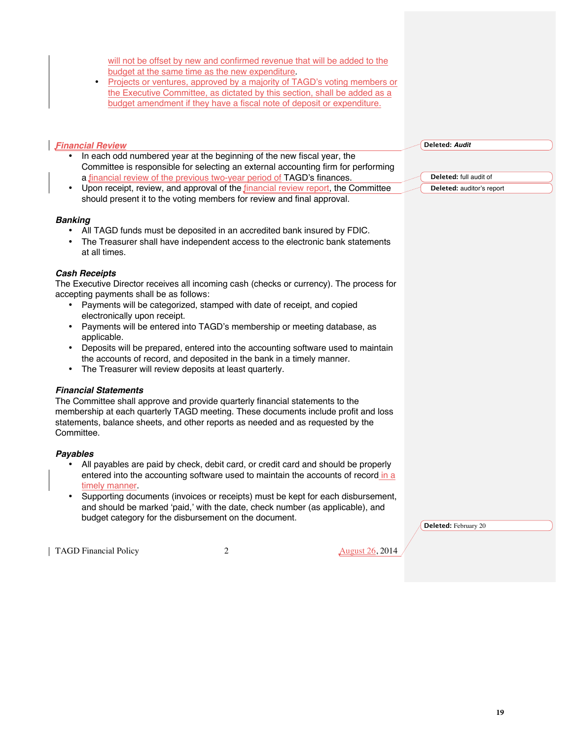will not be offset by new and confirmed revenue that will be added to the budget at the same time as the new expenditure.

• Projects or ventures, approved by a majority of TAGD's voting members or the Executive Committee, as dictated by this section, shall be added as a budget amendment if they have a fiscal note of deposit or expenditure.

#### *Financial Review*

- In each odd numbered year at the beginning of the new fiscal year, the Committee is responsible for selecting an external accounting firm for performing a financial review of the previous two-year period of TAGD's finances.
- Upon receipt, review, and approval of the financial review report, the Committee should present it to the voting members for review and final approval.

#### *Banking*

- All TAGD funds must be deposited in an accredited bank insured by FDIC.
- The Treasurer shall have independent access to the electronic bank statements at all times.

#### *Cash Receipts*

The Executive Director receives all incoming cash (checks or currency). The process for accepting payments shall be as follows:

- Payments will be categorized, stamped with date of receipt, and copied electronically upon receipt.
- Payments will be entered into TAGD's membership or meeting database, as applicable.
- Deposits will be prepared, entered into the accounting software used to maintain the accounts of record, and deposited in the bank in a timely manner.
- The Treasurer will review deposits at least quarterly.

#### *Financial Statements*

The Committee shall approve and provide quarterly financial statements to the membership at each quarterly TAGD meeting. These documents include profit and loss statements, balance sheets, and other reports as needed and as requested by the Committee.

#### *Payables*

- All payables are paid by check, debit card, or credit card and should be properly entered into the accounting software used to maintain the accounts of record in a timely manner.
- Supporting documents (invoices or receipts) must be kept for each disbursement, and should be marked 'paid,' with the date, check number (as applicable), and budget category for the disbursement on the document.

**Deleted:** February 20

TAGD Financial Policy 2 2 August 26, 2014

**Deleted:** *Audit*

**Deleted:** full audit of **Deleted:** auditor's report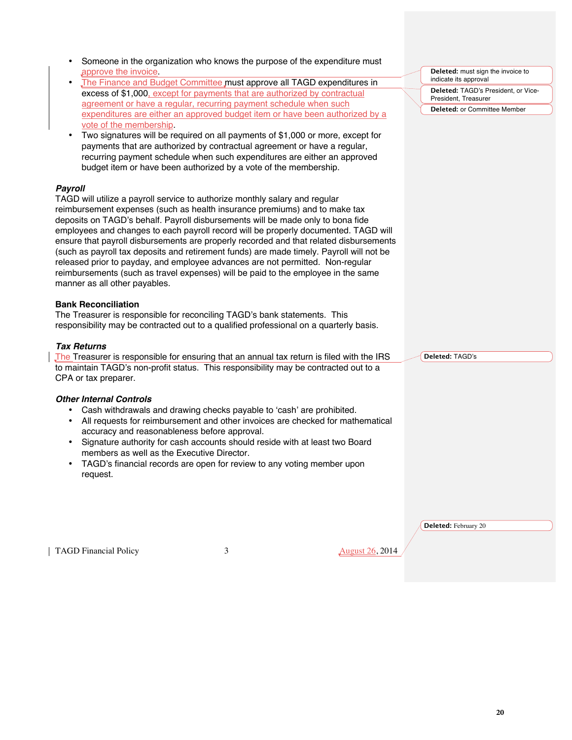| approve the invoice                                                                    | Someone in the organization who knows the purpose of the expenditure must                                                                                                                                                                                                                                  |                                                                                                                                                                                    | Deleted: must sign the invoice to   |
|----------------------------------------------------------------------------------------|------------------------------------------------------------------------------------------------------------------------------------------------------------------------------------------------------------------------------------------------------------------------------------------------------------|------------------------------------------------------------------------------------------------------------------------------------------------------------------------------------|-------------------------------------|
| $\bullet$                                                                              | The Finance and Budget Committee must approve all TAGD expenditures in                                                                                                                                                                                                                                     |                                                                                                                                                                                    | indicate its approval               |
|                                                                                        | excess of \$1,000, except for payments that are authorized by contractual                                                                                                                                                                                                                                  |                                                                                                                                                                                    | Deleted: TAGD's President, or Vice- |
|                                                                                        | agreement or have a regular, recurring payment schedule when such                                                                                                                                                                                                                                          |                                                                                                                                                                                    | President, Treasurer                |
|                                                                                        |                                                                                                                                                                                                                                                                                                            | expenditures are either an approved budget item or have been authorized by a                                                                                                       | Deleted: or Committee Member        |
| vote of the membership.                                                                |                                                                                                                                                                                                                                                                                                            |                                                                                                                                                                                    |                                     |
| $\bullet$                                                                              | Two signatures will be required on all payments of \$1,000 or more, except for<br>payments that are authorized by contractual agreement or have a regular,<br>recurring payment schedule when such expenditures are either an approved<br>budget item or have been authorized by a vote of the membership. |                                                                                                                                                                                    |                                     |
| <b>Payroll</b>                                                                         |                                                                                                                                                                                                                                                                                                            |                                                                                                                                                                                    |                                     |
| TAGD will utilize a payroll service to authorize monthly salary and regular            |                                                                                                                                                                                                                                                                                                            |                                                                                                                                                                                    |                                     |
| reimbursement expenses (such as health insurance premiums) and to make tax             |                                                                                                                                                                                                                                                                                                            |                                                                                                                                                                                    |                                     |
| deposits on TAGD's behalf. Payroll disbursements will be made only to bona fide        |                                                                                                                                                                                                                                                                                                            |                                                                                                                                                                                    |                                     |
|                                                                                        |                                                                                                                                                                                                                                                                                                            | employees and changes to each payroll record will be properly documented. TAGD will                                                                                                |                                     |
|                                                                                        |                                                                                                                                                                                                                                                                                                            | ensure that payroll disbursements are properly recorded and that related disbursements<br>(such as payroll tax deposits and retirement funds) are made timely. Payroll will not be |                                     |
| released prior to payday, and employee advances are not permitted. Non-regular         |                                                                                                                                                                                                                                                                                                            |                                                                                                                                                                                    |                                     |
| reimbursements (such as travel expenses) will be paid to the employee in the same      |                                                                                                                                                                                                                                                                                                            |                                                                                                                                                                                    |                                     |
| manner as all other payables.                                                          |                                                                                                                                                                                                                                                                                                            |                                                                                                                                                                                    |                                     |
| <b>Bank Reconciliation</b>                                                             |                                                                                                                                                                                                                                                                                                            |                                                                                                                                                                                    |                                     |
| The Treasurer is responsible for reconciling TAGD's bank statements. This              |                                                                                                                                                                                                                                                                                                            |                                                                                                                                                                                    |                                     |
| responsibility may be contracted out to a qualified professional on a quarterly basis. |                                                                                                                                                                                                                                                                                                            |                                                                                                                                                                                    |                                     |
| <b>Tax Returns</b>                                                                     |                                                                                                                                                                                                                                                                                                            |                                                                                                                                                                                    |                                     |
|                                                                                        |                                                                                                                                                                                                                                                                                                            | The Treasurer is responsible for ensuring that an annual tax return is filed with the IRS                                                                                          | Deleted: TAGD's                     |
| to maintain TAGD's non-profit status. This responsibility may be contracted out to a   |                                                                                                                                                                                                                                                                                                            |                                                                                                                                                                                    |                                     |
| CPA or tax preparer.                                                                   |                                                                                                                                                                                                                                                                                                            |                                                                                                                                                                                    |                                     |
|                                                                                        |                                                                                                                                                                                                                                                                                                            |                                                                                                                                                                                    |                                     |
| <b>Other Internal Controls</b>                                                         | Cash withdrawals and drawing checks payable to 'cash' are prohibited.                                                                                                                                                                                                                                      |                                                                                                                                                                                    |                                     |
| $\bullet$                                                                              |                                                                                                                                                                                                                                                                                                            | All requests for reimbursement and other invoices are checked for mathematical                                                                                                     |                                     |
|                                                                                        | accuracy and reasonableness before approval.                                                                                                                                                                                                                                                               |                                                                                                                                                                                    |                                     |
| $\bullet$                                                                              | Signature authority for cash accounts should reside with at least two Board                                                                                                                                                                                                                                |                                                                                                                                                                                    |                                     |
| members as well as the Executive Director.                                             |                                                                                                                                                                                                                                                                                                            |                                                                                                                                                                                    |                                     |
|                                                                                        | TAGD's financial records are open for review to any voting member upon                                                                                                                                                                                                                                     |                                                                                                                                                                                    |                                     |
| request.                                                                               |                                                                                                                                                                                                                                                                                                            |                                                                                                                                                                                    |                                     |
|                                                                                        |                                                                                                                                                                                                                                                                                                            |                                                                                                                                                                                    |                                     |
|                                                                                        |                                                                                                                                                                                                                                                                                                            |                                                                                                                                                                                    |                                     |
|                                                                                        |                                                                                                                                                                                                                                                                                                            |                                                                                                                                                                                    |                                     |
|                                                                                        |                                                                                                                                                                                                                                                                                                            |                                                                                                                                                                                    | Deleted: February 20                |
| <b>TAGD Financial Policy</b>                                                           | 3                                                                                                                                                                                                                                                                                                          | <b>August 26, 2014</b>                                                                                                                                                             |                                     |
|                                                                                        |                                                                                                                                                                                                                                                                                                            |                                                                                                                                                                                    |                                     |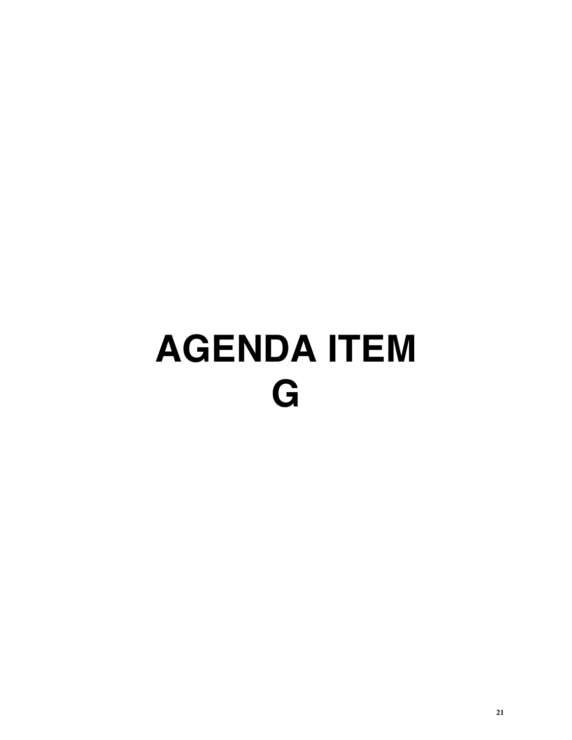# **AGENDA ITEM G**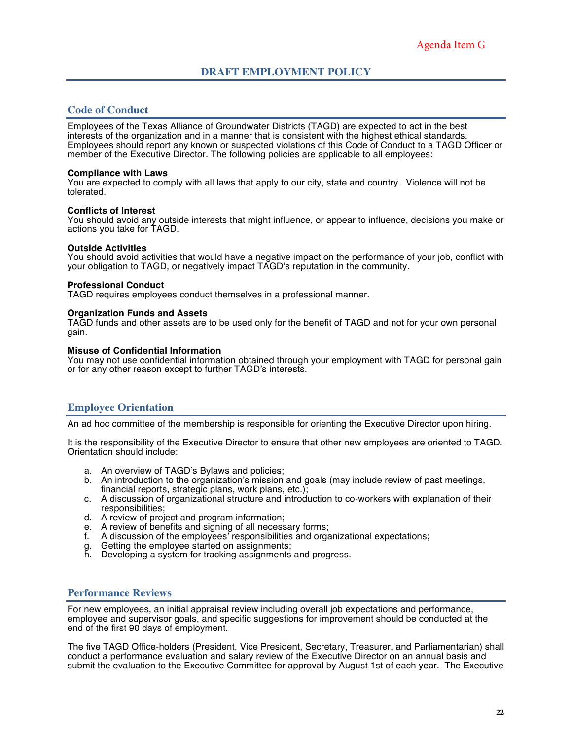### **Code of Conduct**

Employees of the Texas Alliance of Groundwater Districts (TAGD) are expected to act in the best interests of the organization and in a manner that is consistent with the highest ethical standards. Employees should report any known or suspected violations of this Code of Conduct to a TAGD Officer or member of the Executive Director. The following policies are applicable to all employees:

#### **Compliance with Laws**

You are expected to comply with all laws that apply to our city, state and country. Violence will not be tolerated.

#### **Conflicts of Interest**

You should avoid any outside interests that might influence, or appear to influence, decisions you make or actions you take for TAGD.

#### **Outside Activities**

You should avoid activities that would have a negative impact on the performance of your job, conflict with your obligation to TAGD, or negatively impact TAGD's reputation in the community.

#### **Professional Conduct**

TAGD requires employees conduct themselves in a professional manner.

#### **Organization Funds and Assets**

TAGD funds and other assets are to be used only for the benefit of TAGD and not for your own personal gain.

#### **Misuse of Confidential Information**

You may not use confidential information obtained through your employment with TAGD for personal gain or for any other reason except to further TAGD's interests.

## **Employee Orientation**

An ad hoc committee of the membership is responsible for orienting the Executive Director upon hiring.

It is the responsibility of the Executive Director to ensure that other new employees are oriented to TAGD. Orientation should include:

- a. An overview of TAGD's Bylaws and policies;
- b. An introduction to the organization's mission and goals (may include review of past meetings, financial reports, strategic plans, work plans, etc.);
- c. A discussion of organizational structure and introduction to co-workers with explanation of their responsibilities;
- d. A review of project and program information;
- e. A review of benefits and signing of all necessary forms;
- f. A discussion of the employees' responsibilities and organizational expectations;
- g. Getting the employee started on assignments;
- h. Developing a system for tracking assignments and progress.

#### **Performance Reviews**

For new employees, an initial appraisal review including overall job expectations and performance, employee and supervisor goals, and specific suggestions for improvement should be conducted at the end of the first 90 days of employment.

The five TAGD Office-holders (President, Vice President, Secretary, Treasurer, and Parliamentarian) shall conduct a performance evaluation and salary review of the Executive Director on an annual basis and submit the evaluation to the Executive Committee for approval by August 1st of each year. The Executive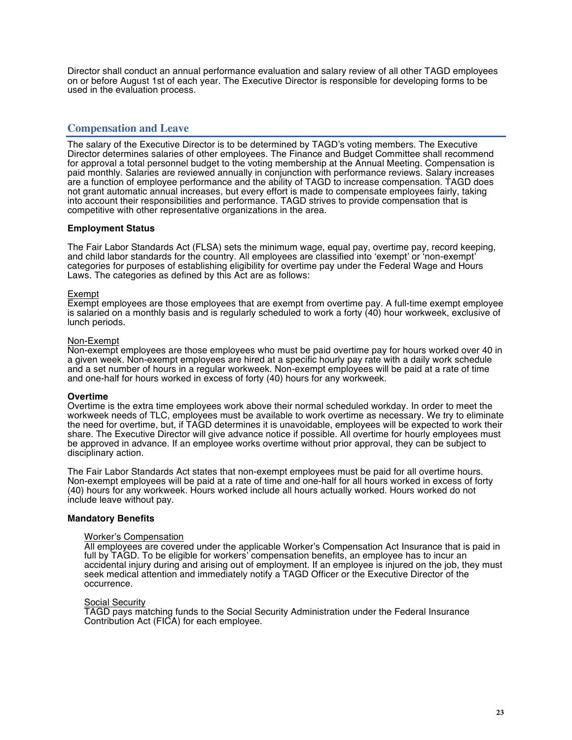Director shall conduct an annual performance evaluation and salary review of all other TAGD employees on or before August 1st of each year. The Executive Director is responsible for developing forms to be used in the evaluation process.

# **Compensation and Leave**

The salary of the Executive Director is to be determined by TAGD's voting members. The Executive Director determines salaries of other employees. The Finance and Budget Committee shall recommend for approval a total personnel budget to the voting membership at the Annual Meeting. Compensation is paid monthly. Salaries are reviewed annually in conjunction with performance reviews. Salary increases are a function of employee performance and the ability of TAGD to increase compensation. TAGD does not grant automatic annual increases, but every effort is made to compensate employees fairly, taking into account their responsibilities and performance. TAGD strives to provide compensation that is competitive with other representative organizations in the area.

#### **Employment Status**

The Fair Labor Standards Act (FLSA) sets the minimum wage, equal pay, overtime pay, record keeping, and child labor standards for the country. All employees are classified into 'exempt' or 'non-exempt' categories for purposes of establishing eligibility for overtime pay under the Federal Wage and Hours Laws. The categories as defined by this Act are as follows:

#### Exempt

Exempt employees are those employees that are exempt from overtime pay. A full-time exempt employee is salaried on a monthly basis and is regularly scheduled to work a forty (40) hour workweek, exclusive of lunch periods.

#### Non-Exempt

Non-exempt employees are those employees who must be paid overtime pay for hours worked over 40 in a given week. Non-exempt employees are hired at a specific hourly pay rate with a daily work schedule and a set number of hours in a regular workweek. Non-exempt employees will be paid at a rate of time and one-half for hours worked in excess of forty (40) hours for any workweek.

#### **Overtime**

Overtime is the extra time employees work above their normal scheduled workday. In order to meet the workweek needs of TLC, employees must be available to work overtime as necessary. We try to eliminate the need for overtime, but, if TAGD determines it is unavoidable, employees will be expected to work their share. The Executive Director will give advance notice if possible. All overtime for hourly employees must be approved in advance. If an employee works overtime without prior approval, they can be subject to disciplinary action.

The Fair Labor Standards Act states that non-exempt employees must be paid for all overtime hours. Non-exempt employees will be paid at a rate of time and one-half for all hours worked in excess of forty (40) hours for any workweek. Hours worked include all hours actually worked. Hours worked do not include leave without pay.

#### **Mandatory Benefits**

#### Worker's Compensation

All employees are covered under the applicable Worker's Compensation Act Insurance that is paid in full by TAGD. To be eligible for workers' compensation benefits, an employee has to incur an accidental injury during and arising out of employment. If an employee is injured on the job, they must seek medical attention and immediately notify a TAGD Officer or the Executive Director of the occurrence.

#### **Social Security**

TAGD pays matching funds to the Social Security Administration under the Federal Insurance Contribution Act (FICA) for each employee.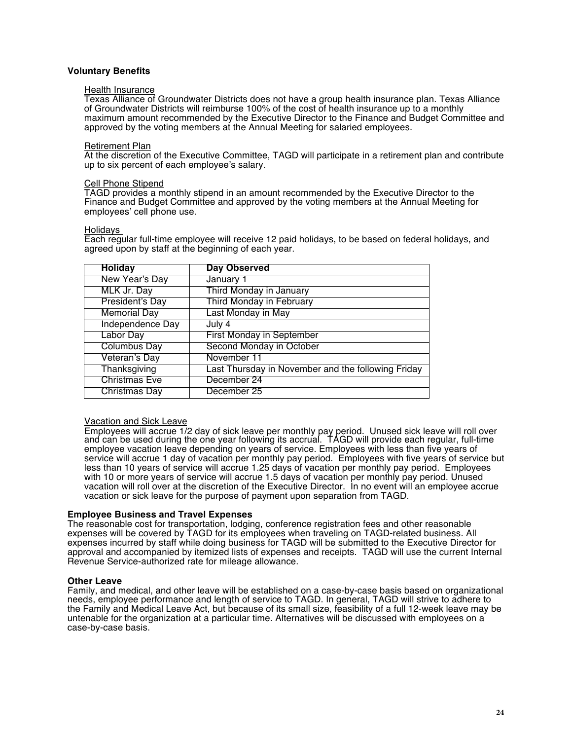#### **Voluntary Benefits**

#### **Health Insurance**

Texas Alliance of Groundwater Districts does not have a group health insurance plan. Texas Alliance of Groundwater Districts will reimburse 100% of the cost of health insurance up to a monthly maximum amount recommended by the Executive Director to the Finance and Budget Committee and approved by the voting members at the Annual Meeting for salaried employees.

#### Retirement Plan

At the discretion of the Executive Committee, TAGD will participate in a retirement plan and contribute up to six percent of each employee's salary.

#### Cell Phone Stipend

TAGD provides a monthly stipend in an amount recommended by the Executive Director to the Finance and Budget Committee and approved by the voting members at the Annual Meeting for employees' cell phone use.

#### Holidays

Each regular full-time employee will receive 12 paid holidays, to be based on federal holidays, and agreed upon by staff at the beginning of each year.

| <b>Holiday</b>       | <b>Day Observed</b>                                |
|----------------------|----------------------------------------------------|
| New Year's Day       | January 1                                          |
| MLK Jr. Day          | Third Monday in January                            |
| President's Day      | Third Monday in February                           |
| <b>Memorial Day</b>  | Last Monday in May                                 |
| Independence Day     | July 4                                             |
| Labor Day            | <b>First Monday in September</b>                   |
| <b>Columbus Day</b>  | Second Monday in October                           |
| Veteran's Day        | November 11                                        |
| Thanksgiving         | Last Thursday in November and the following Friday |
| <b>Christmas Eve</b> | December 24                                        |
| <b>Christmas Day</b> | December 25                                        |

#### Vacation and Sick Leave

Employees will accrue 1/2 day of sick leave per monthly pay period. Unused sick leave will roll over and can be used during the one year following its accrual. TAGD will provide each regular, full-time employee vacation leave depending on years of service. Employees with less than five years of service will accrue 1 day of vacation per monthly pay period. Employees with five years of service but less than 10 years of service will accrue 1.25 days of vacation per monthly pay period. Employees with 10 or more years of service will accrue 1.5 days of vacation per monthly pay period. Unused vacation will roll over at the discretion of the Executive Director. In no event will an employee accrue vacation or sick leave for the purpose of payment upon separation from TAGD.

#### **Employee Business and Travel Expenses**

The reasonable cost for transportation, lodging, conference registration fees and other reasonable expenses will be covered by TAGD for its employees when traveling on TAGD-related business. All expenses incurred by staff while doing business for TAGD will be submitted to the Executive Director for approval and accompanied by itemized lists of expenses and receipts. TAGD will use the current Internal Revenue Service-authorized rate for mileage allowance.

#### **Other Leave**

Family, and medical, and other leave will be established on a case-by-case basis based on organizational needs, employee performance and length of service to TAGD. In general, TAGD will strive to adhere to the Family and Medical Leave Act, but because of its small size, feasibility of a full 12-week leave may be untenable for the organization at a particular time. Alternatives will be discussed with employees on a case-by-case basis.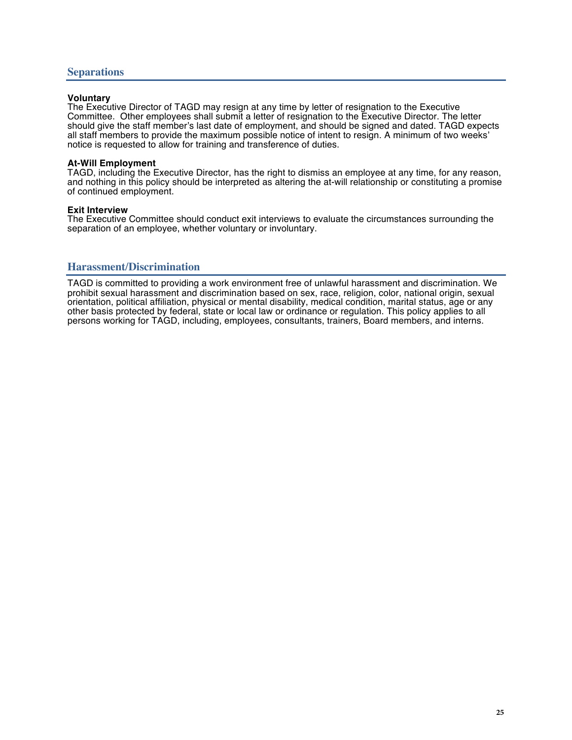#### **Voluntary**

The Executive Director of TAGD may resign at any time by letter of resignation to the Executive Committee. Other employees shall submit a letter of resignation to the Executive Director. The letter should give the staff member's last date of employment, and should be signed and dated. TAGD expects all staff members to provide the maximum possible notice of intent to resign. A minimum of two weeks' notice is requested to allow for training and transference of duties.

#### **At-Will Employment**

TAGD, including the Executive Director, has the right to dismiss an employee at any time, for any reason, and nothing in this policy should be interpreted as altering the at-will relationship or constituting a promise of continued employment.

#### **Exit Interview**

The Executive Committee should conduct exit interviews to evaluate the circumstances surrounding the separation of an employee, whether voluntary or involuntary.

#### **Harassment/Discrimination**

TAGD is committed to providing a work environment free of unlawful harassment and discrimination. We prohibit sexual harassment and discrimination based on sex, race, religion, color, national origin, sexual orientation, political affiliation, physical or mental disability, medical condition, marital status, age or any other basis protected by federal, state or local law or ordinance or regulation. This policy applies to all persons working for TAGD, including, employees, consultants, trainers, Board members, and interns.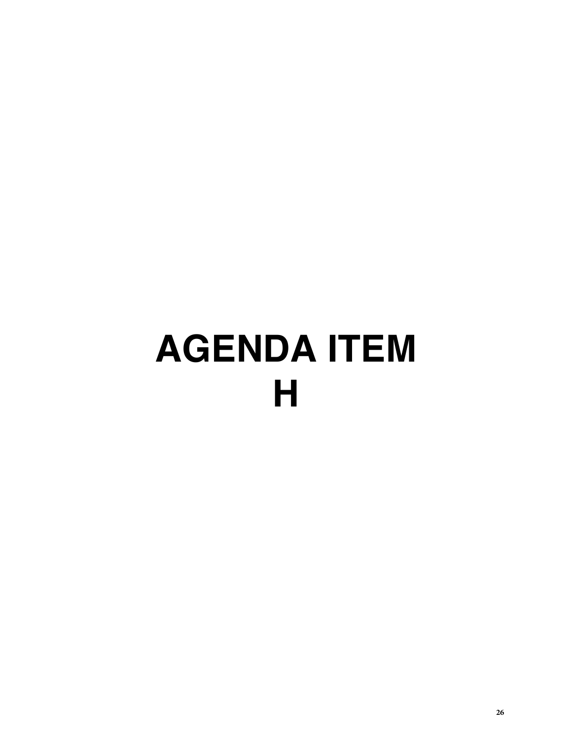# **AGENDA ITEM H**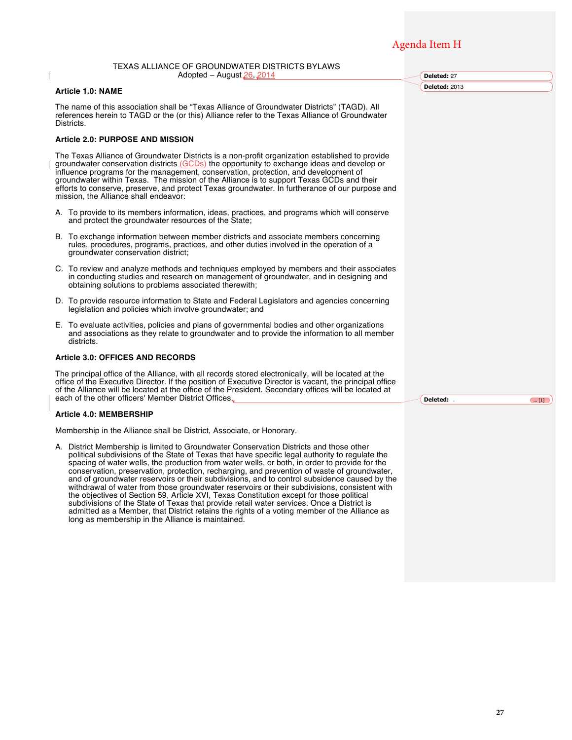# Agenda Item H

**Deleted:** 27 **Deleted:** 2013

#### TEXAS ALLIANCE OF GROUNDWATER DISTRICTS BYLAWS Adopted – August 26, 2014

#### **Article 1.0: NAME**

The name of this association shall be "Texas Alliance of Groundwater Districts" (TAGD). All references herein to TAGD or the (or this) Alliance refer to the Texas Alliance of Groundwater Districts.

#### **Article 2.0: PURPOSE AND MISSION**

The Texas Alliance of Groundwater Districts is a non-profit organization established to provide groundwater conservation districts (GCDs) the opportunity to exchange ideas and develop or influence programs for the management, conservation, protection, and development of groundwater within Texas. The mission of the Alliance is to support Texas GCDs and their efforts to conserve, preserve, and protect Texas groundwater. In furtherance of our purpose and mission, the Alliance shall endeavor:

- A. To provide to its members information, ideas, practices, and programs which will conserve and protect the groundwater resources of the State;
- B. To exchange information between member districts and associate members concerning rules, procedures, programs, practices, and other duties involved in the operation of a groundwater conservation district;
- C. To review and analyze methods and techniques employed by members and their associates in conducting studies and research on management of groundwater, and in designing and obtaining solutions to problems associated therewith;
- D. To provide resource information to State and Federal Legislators and agencies concerning legislation and policies which involve groundwater; and
- E. To evaluate activities, policies and plans of governmental bodies and other organizations and associations as they relate to groundwater and to provide the information to all member districts.

#### **Article 3.0: OFFICES AND RECORDS**

The principal office of the Alliance, with all records stored electronically, will be located at the office of the Executive Director. If the position of Executive Director is vacant, the principal office of the Alliance will be located at the office of the President. Secondary offices will be located at each of the other officers' Member District Offices.

#### **Article 4.0: MEMBERSHIP**

Membership in the Alliance shall be District, Associate, or Honorary.

A. District Membership is limited to Groundwater Conservation Districts and those other political subdivisions of the State of Texas that have specific legal authority to regulate the spacing of water wells, the production from water wells, or both, in order to provide for the conservation, preservation, protection, recharging, and prevention of waste of groundwater, and of groundwater reservoirs or their subdivisions, and to control subsidence caused by the withdrawal of water from those groundwater reservoirs or their subdivisions, consistent with the objectives of Section 59, Article XVI, Texas Constitution except for those political subdivisions of the State of Texas that provide retail water services. Once a District is admitted as a Member, that District retains the rights of a voting member of the Alliance as long as membership in the Alliance is maintained.

**Deleted:** ... [1]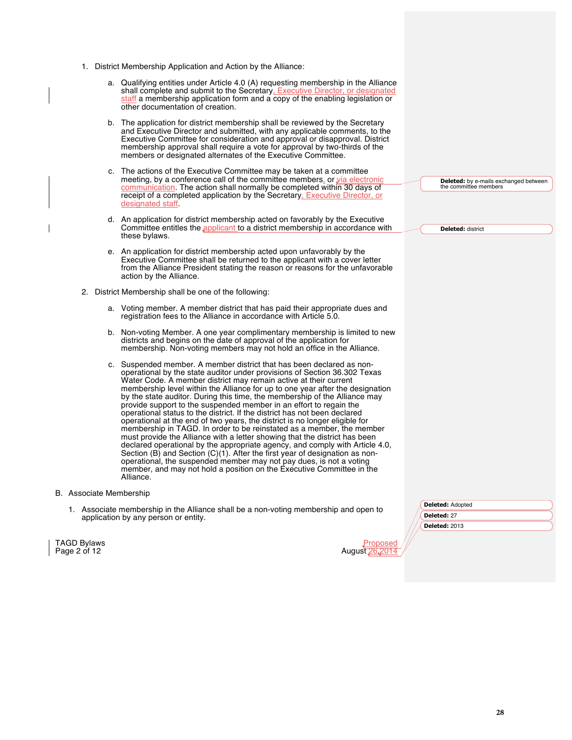- 1. District Membership Application and Action by the Alliance:
	- a. Qualifying entities under Article 4.0 (A) requesting membership in the Alliance shall complete and submit to the Secretary, Executive Director, or designated staff a membership application form and a copy of the enabling legislation or other documentation of creation.
	- b. The application for district membership shall be reviewed by the Secretary and Executive Director and submitted, with any applicable comments, to the Executive Committee for consideration and approval or disapproval. District membership approval shall require a vote for approval by two-thirds of the members or designated alternates of the Executive Committee.
	- c. The actions of the Executive Committee may be taken at a committee meeting, by a conference call of the committee members, or via electronic communication. The action shall normally be completed within 30 days of receipt of a completed application by the Secretary, Executive Director, or designated staff.
	- d. An application for district membership acted on favorably by the Executive Committee entitles the *applicant* to a district membership in accordance with these bylaws.
	- e. An application for district membership acted upon unfavorably by the Executive Committee shall be returned to the applicant with a cover letter from the Alliance President stating the reason or reasons for the unfavorable action by the Alliance.
- 2. District Membership shall be one of the following:
	- a. Voting member. A member district that has paid their appropriate dues and registration fees to the Alliance in accordance with Article 5.0.
	- b. Non-voting Member. A one year complimentary membership is limited to new districts and begins on the date of approval of the application for membership. Non-voting members may not hold an office in the Alliance.
	- c. Suspended member. A member district that has been declared as nonoperational by the state auditor under provisions of Section 36.302 Texas Water Code. A member district may remain active at their current membership level within the Alliance for up to one year after the designation by the state auditor. During this time, the membership of the Alliance may provide support to the suspended member in an effort to regain the operational status to the district. If the district has not been declared operational at the end of two years, the district is no longer eligible for membership in TAGD. In order to be reinstated as a member, the member must provide the Alliance with a letter showing that the district has been declared operational by the appropriate agency, and comply with Article 4.0, Section (B) and Section (C)(1). After the first year of designation as nonoperational, the suspended member may not pay dues, is not a voting member, and may not hold a position on the Executive Committee in the Alliance.
- B. Associate Membership
	- 1. Associate membership in the Alliance shall be a non-voting membership and open to application by any person or entity.

**TAGD Bylaws** Page 2 of 12

| Pronosed      |  |
|---------------|--|
| August 26,201 |  |

**Deleted:** Adopted **Deleted:** 27 **Deleted:** 2013

**Deleted:** by e-mails exchanged between

the committee members

**Deleted:** district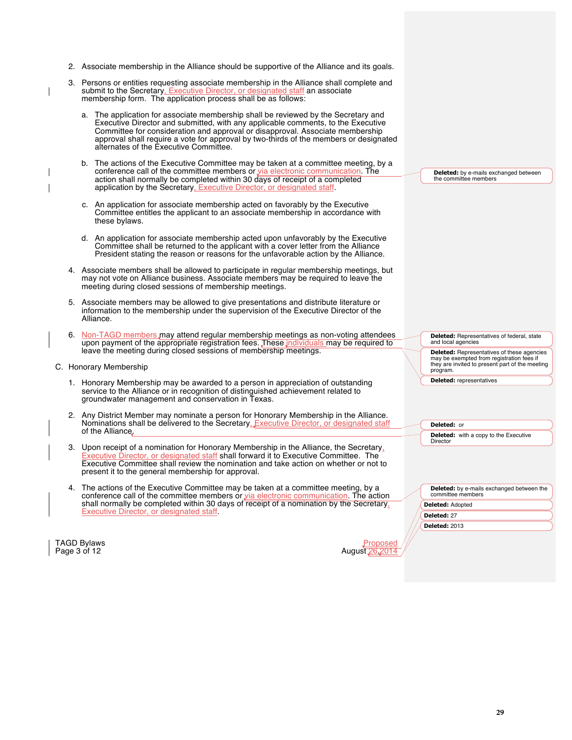|  | 2. Associate membership in the Alliance should be supportive of the Alliance and its goals.                                                                                                                                                                                                                                                                                                |                                                                                                                                         |
|--|--------------------------------------------------------------------------------------------------------------------------------------------------------------------------------------------------------------------------------------------------------------------------------------------------------------------------------------------------------------------------------------------|-----------------------------------------------------------------------------------------------------------------------------------------|
|  | 3. Persons or entities requesting associate membership in the Alliance shall complete and<br>submit to the Secretary, Executive Director, or designated staff an associate<br>membership form. The application process shall be as follows:                                                                                                                                                |                                                                                                                                         |
|  | a. The application for associate membership shall be reviewed by the Secretary and<br>Executive Director and submitted, with any applicable comments, to the Executive<br>Committee for consideration and approval or disapproval. Associate membership<br>approval shall require a vote for approval by two-thirds of the members or designated<br>alternates of the Executive Committee. |                                                                                                                                         |
|  | b. The actions of the Executive Committee may be taken at a committee meeting, by a<br>conference call of the committee members or via electronic communication. The<br>action shall normally be completed within 30 days of receipt of a completed<br>application by the Secretary, Executive Director, or designated staff.                                                              | <b>Deleted:</b> by e-mails exchanged between<br>the committee members                                                                   |
|  | c. An application for associate membership acted on favorably by the Executive<br>Committee entitles the applicant to an associate membership in accordance with<br>these bylaws.                                                                                                                                                                                                          |                                                                                                                                         |
|  | d. An application for associate membership acted upon unfavorably by the Executive<br>Committee shall be returned to the applicant with a cover letter from the Alliance<br>President stating the reason or reasons for the unfavorable action by the Alliance.                                                                                                                            |                                                                                                                                         |
|  | 4. Associate members shall be allowed to participate in regular membership meetings, but<br>may not vote on Alliance business. Associate members may be required to leave the<br>meeting during closed sessions of membership meetings.                                                                                                                                                    |                                                                                                                                         |
|  | 5. Associate members may be allowed to give presentations and distribute literature or<br>information to the membership under the supervision of the Executive Director of the<br>Alliance.                                                                                                                                                                                                |                                                                                                                                         |
|  | 6. Non-TAGD members may attend regular membership meetings as non-voting attendees<br>upon payment of the appropriate registration fees. These individuals may be required to<br>leave the meeting during closed sessions of membership meetings.                                                                                                                                          | <b>Deleted:</b> Representatives of federal, state<br>and local agencies<br>Deleted: Representatives of these agencies                   |
|  | C. Honorary Membership                                                                                                                                                                                                                                                                                                                                                                     | may be exempted from registration fees if<br>they are invited to present part of the meeting<br>program.                                |
|  | 1. Honorary Membership may be awarded to a person in appreciation of outstanding<br>service to the Alliance or in recognition of distinguished achievement related to<br>groundwater management and conservation in Texas.                                                                                                                                                                 | <b>Deleted:</b> representatives                                                                                                         |
|  | 2. Any District Member may nominate a person for Honorary Membership in the Alliance.<br>Nominations shall be delivered to the Secretary. Executive Director, or designated staff<br>of the Alliance.                                                                                                                                                                                      | Deleted: or                                                                                                                             |
|  | 3. Upon receipt of a nomination for Honorary Membership in the Alliance, the Secretary,<br><b>Executive Director, or designated staff shall forward it to Executive Committee. The</b><br>Executive Committee shall review the nomination and take action on whether or not to<br>present it to the general membership for approval.                                                       | <b>Deleted:</b> with a copy to the Executive<br>Director                                                                                |
|  | 4. The actions of the Executive Committee may be taken at a committee meeting, by a<br>conference call of the committee members or via electronic communication. The action<br>shall normally be completed within 30 days of receipt of a nomination by the Secretary,<br>Executive Director, or designated staff.                                                                         | <b>Deleted:</b> by e-mails exchanged between the<br>committee members<br><b>Deleted: Adopted</b><br>Deleted: 27<br><b>Deleted: 2013</b> |
|  | TAGD Bylaws<br><u>Proposed</u><br>Page 3 of 12<br>August 26, 2014                                                                                                                                                                                                                                                                                                                          |                                                                                                                                         |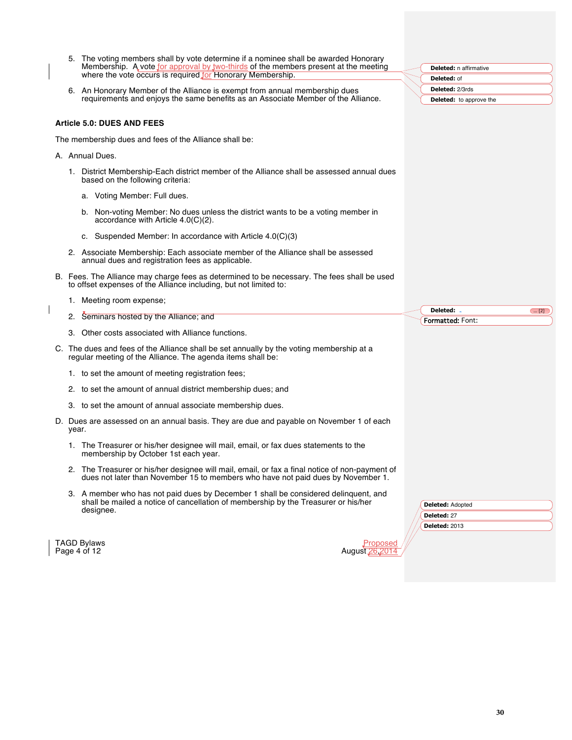|       | 5. The voting members shall by vote determine if a nominee shall be awarded Honorary<br>Membership. A vote for approval by two-thirds of the members present at the meeting            | <b>Deleted:</b> n affirmative          |
|-------|----------------------------------------------------------------------------------------------------------------------------------------------------------------------------------------|----------------------------------------|
|       | where the vote occurs is required for Honorary Membership.                                                                                                                             | Deleted: of                            |
|       | 6. An Honorary Member of the Alliance is exempt from annual membership dues                                                                                                            | <b>Deleted: 2/3rds</b>                 |
|       | requirements and enjoys the same benefits as an Associate Member of the Alliance.                                                                                                      | <b>Deleted:</b> to approve the         |
|       |                                                                                                                                                                                        |                                        |
|       | Article 5.0: DUES AND FEES                                                                                                                                                             |                                        |
|       | The membership dues and fees of the Alliance shall be:                                                                                                                                 |                                        |
|       | A. Annual Dues.                                                                                                                                                                        |                                        |
|       | 1. District Membership-Each district member of the Alliance shall be assessed annual dues<br>based on the following criteria:                                                          |                                        |
|       | a. Voting Member: Full dues.                                                                                                                                                           |                                        |
|       | b. Non-voting Member: No dues unless the district wants to be a voting member in<br>accordance with Article $4.0(C)(2)$ .                                                              |                                        |
|       | c. Suspended Member: In accordance with Article $4.0(C)(3)$                                                                                                                            |                                        |
|       | 2. Associate Membership: Each associate member of the Alliance shall be assessed<br>annual dues and registration fees as applicable.                                                   |                                        |
|       | B. Fees. The Alliance may charge fees as determined to be necessary. The fees shall be used<br>to offset expenses of the Alliance including, but not limited to:                       |                                        |
|       |                                                                                                                                                                                        |                                        |
|       | 1. Meeting room expense;                                                                                                                                                               |                                        |
|       | 2. Seminars hosted by the Alliance; and                                                                                                                                                | Deleted: .<br>$\boxed{12}$             |
|       | 3. Other costs associated with Alliance functions.                                                                                                                                     | Formatted: Font:                       |
|       | C. The dues and fees of the Alliance shall be set annually by the voting membership at a<br>regular meeting of the Alliance. The agenda items shall be:                                |                                        |
|       | 1. to set the amount of meeting registration fees;                                                                                                                                     |                                        |
|       | 2. to set the amount of annual district membership dues; and                                                                                                                           |                                        |
|       | 3. to set the amount of annual associate membership dues.                                                                                                                              |                                        |
| year. | D. Dues are assessed on an annual basis. They are due and payable on November 1 of each                                                                                                |                                        |
|       | 1. The Treasurer or his/her designee will mail, email, or fax dues statements to the<br>membership by October 1st each year.                                                           |                                        |
|       | 2. The Treasurer or his/her designee will mail, email, or fax a final notice of non-payment of<br>dues not later than November 15 to members who have not paid dues by November 1.     |                                        |
|       | 3. A member who has not paid dues by December 1 shall be considered delinguent, and<br>shall be mailed a notice of cancellation of membership by the Treasurer or his/her<br>designee. | <b>Deleted: Adopted</b><br>Deleted: 27 |
|       |                                                                                                                                                                                        | <b>Deleted: 2013</b>                   |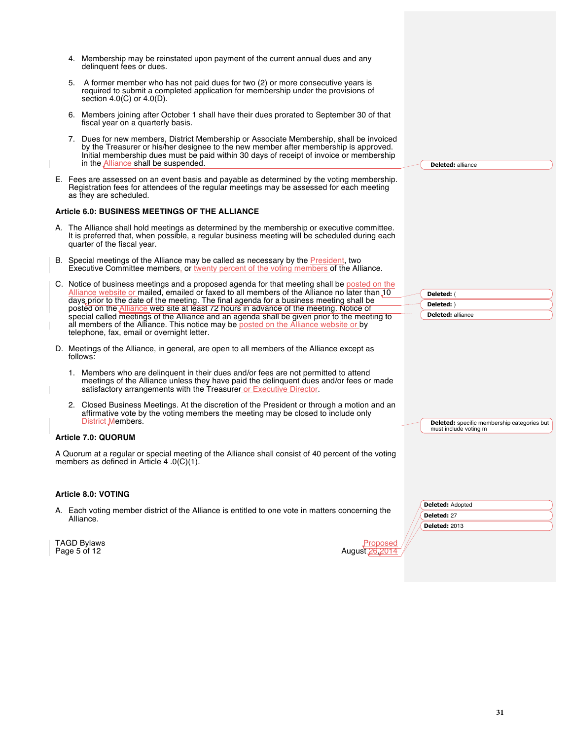- 4. Membership may be reinstated upon payment of the current annual dues and any delinquent fees or dues.
- 5. A former member who has not paid dues for two (2) or more consecutive years is required to submit a completed application for membership under the provisions of section 4.0(C) or 4.0(D).
- 6. Members joining after October 1 shall have their dues prorated to September 30 of that fiscal year on a quarterly basis.
- 7. Dues for new members, District Membership or Associate Membership, shall be invoiced by the Treasurer or his/her designee to the new member after membership is approved. Initial membership dues must be paid within 30 days of receipt of invoice or membership in the Alliance shall be suspended.
- E. Fees are assessed on an event basis and payable as determined by the voting membership. Registration fees for attendees of the regular meetings may be assessed for each meeting as they are scheduled.

#### **Article 6.0: BUSINESS MEETINGS OF THE ALLIANCE**

- A. The Alliance shall hold meetings as determined by the membership or executive committee. It is preferred that, when possible, a regular business meeting will be scheduled during each quarter of the fiscal year.
- B. Special meetings of the Alliance may be called as necessary by the President, two Executive Committee members, or twenty percent of the voting members of the Alliance.
- C. Notice of business meetings and a proposed agenda for that meeting shall be posted on the Alliance website or mailed, emailed or faxed to all members of the Alliance no later than 10 days prior to the date of the meeting. The final agenda for a business meeting shall be posted on the Alliance web site at least 72 hours in advance of the meeting. Notice of special called meetings of the Alliance and an agenda shall be given prior to the meeting to special called meeting to all members of the Alliance. This notice may be posted on the telephone, fax, email or overnight letter.
- D. Meetings of the Alliance, in general, are open to all members of the Alliance except as follows:
	- 1. Members who are delinquent in their dues and/or fees are not permitted to attend meetings of the Alliance unless they have paid the delinquent dues and/or fees or made satisfactory arrangements with the Treasurer or Executive Director.
	- 2. Closed Business Meetings. At the discretion of the President or through a motion and an affirmative vote by the voting members the meeting may be closed to include only District Members.

#### **Article 7.0: QUORUM**

A Quorum at a regular or special meeting of the Alliance shall consist of 40 percent of the voting members as defined in Article 4 .0(C)(1).

#### **Article 8.0: VOTING**

- A. Each voting member district of the Alliance is entitled to one vote in matters concerning the Alliance.
- **Deleted:** Adopted **Deleted:** 27 **Deleted:** 2013

**Deleted:** specific membership categories but

must include voting m

**Deleted:** alliance

**Deleted:** ( **Deleted:** ) **Deleted:** alliance

TAGD Bylaws  $P_{\text{A}}$  and  $P_{\text{B}}$  and  $P_{\text{B}}$  and  $P_{\text{B}}$  are proposed by  $P_{\text{B}}$ Page  $5$  of 12

| /uqust 26.20 |  |
|--------------|--|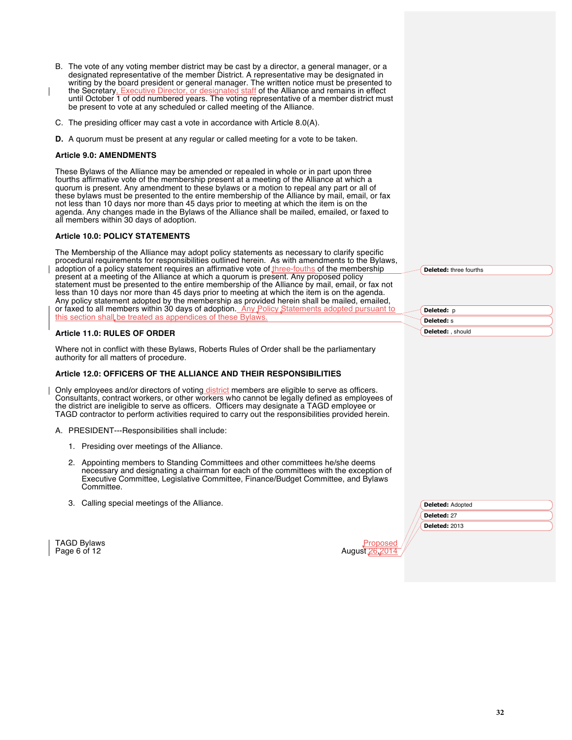- B. The vote of any voting member district may be cast by a director, a general manager, or a designated representative of the member District. A representative may be designated in writing by the board president or general manager. The written notice must be presented to the Secretary, Executive Director, or designated staff of the Alliance and remains in effect until October 1 of odd numbered years. The voting representative of a member district must be present to vote at any scheduled or called meeting of the Alliance.
- C. The presiding officer may cast a vote in accordance with Article 8.0(A).
- **D.** A quorum must be present at any regular or called meeting for a vote to be taken.

#### **Article 9.0: AMENDMENTS**

These Bylaws of the Alliance may be amended or repealed in whole or in part upon three fourths affirmative vote of the membership present at a meeting of the Alliance at which a quorum is present. Any amendment to these bylaws or a motion to repeal any part or all of these bylaws must be presented to the entire membership of the Alliance by mail, email, or fax not less than 10 days nor more than 45 days prior to meeting at which the item is on the agenda. Any changes made in the Bylaws of the Alliance shall be mailed, emailed, or faxed to all members within 30 days of adoption.

#### **Article 10.0: POLICY STATEMENTS**

The Membership of the Alliance may adopt policy statements as necessary to clarify specific procedural requirements for responsibilities outlined herein. As with amendments to the Bylaws, adoption of a policy statement requires an affirmative vote of three-fouths of the membership present at a meeting of the Alliance at which a quorum is present. Any proposed policy statement must be presented to the entire membership of the Alliance by mail, email, or fax not less than 10 days nor more than 45 days prior to meeting at which the item is on the agenda. Any policy statement adopted by the membership as provided herein shall be mailed, emailed, or faxed to all members within 30 days of adoption. Any Policy Statements adopted pursuant to this section shall be treated as appendices of these Bylaws.

#### **Article 11.0: RULES OF ORDER**

Where not in conflict with these Bylaws, Roberts Rules of Order shall be the parliamentary authority for all matters of procedure.

#### **Article 12.0: OFFICERS OF THE ALLIANCE AND THEIR RESPONSIBILITIES**

Only employees and/or directors of voting district members are eligible to serve as officers. Consultants, contract workers, or other workers who cannot be legally defined as employees of the district are ineligible to serve as officers. Officers may designate a TAGD employee or TAGD contractor to perform activities required to carry out the responsibilities provided herein.

- A. PRESIDENT---Responsibilities shall include:
	- 1. Presiding over meetings of the Alliance.
	- 2. Appointing members to Standing Committees and other committees he/she deems necessary and designating a chairman for each of the committees with the exception of Executive Committee, Legislative Committee, Finance/Budget Committee, and Bylaws Committee.
	- 3. Calling special meetings of the Alliance.

TAGD Bylaws <mark>Prop</mark><br>Page 6 of 12 August 26. Page  $6$  of 12

**Deleted:** p **Deleted:** s **Deleted:** , should

**Deleted:** three fourths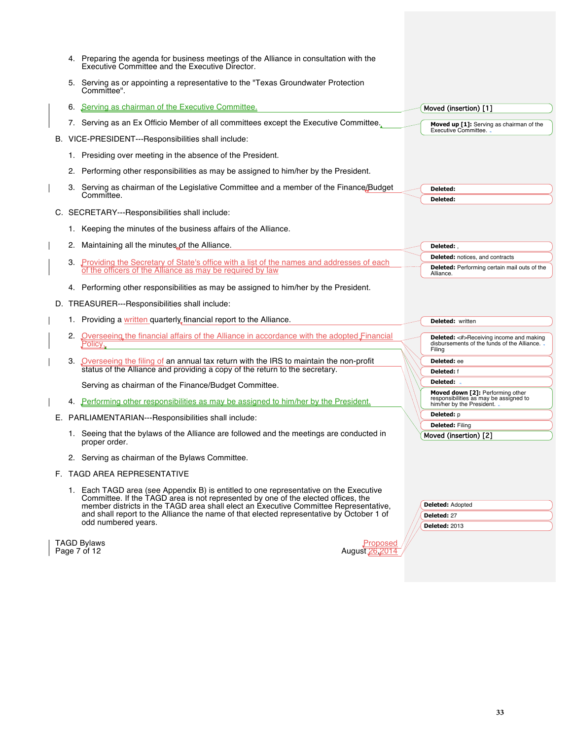|    | 4. Preparing the agenda for business meetings of the Alliance in consultation with the<br>Executive Committee and the Executive Director.                                                                                                                                                                                                                                             |                                                                                                         |
|----|---------------------------------------------------------------------------------------------------------------------------------------------------------------------------------------------------------------------------------------------------------------------------------------------------------------------------------------------------------------------------------------|---------------------------------------------------------------------------------------------------------|
| 5. | Serving as or appointing a representative to the "Texas Groundwater Protection"<br>Committee".                                                                                                                                                                                                                                                                                        |                                                                                                         |
| 6. | Serving as chairman of the Executive Committee.                                                                                                                                                                                                                                                                                                                                       | Moved (insertion) [1]                                                                                   |
|    | 7. Serving as an Ex Officio Member of all committees except the Executive Committee.                                                                                                                                                                                                                                                                                                  | Moved up [1]: Serving as chairman of the                                                                |
|    | B. VICE-PRESIDENT---Responsibilities shall include:                                                                                                                                                                                                                                                                                                                                   | Executive Committee.                                                                                    |
|    | 1. Presiding over meeting in the absence of the President.                                                                                                                                                                                                                                                                                                                            |                                                                                                         |
|    | 2. Performing other responsibilities as may be assigned to him/her by the President.                                                                                                                                                                                                                                                                                                  |                                                                                                         |
|    | 3. Serving as chairman of the Legislative Committee and a member of the Finance/Budget                                                                                                                                                                                                                                                                                                | Deleted:                                                                                                |
|    | Committee.                                                                                                                                                                                                                                                                                                                                                                            | Deleted:                                                                                                |
|    | C. SECRETARY---Responsibilities shall include:                                                                                                                                                                                                                                                                                                                                        |                                                                                                         |
|    | 1. Keeping the minutes of the business affairs of the Alliance.                                                                                                                                                                                                                                                                                                                       |                                                                                                         |
|    | 2. Maintaining all the minutes of the Alliance.                                                                                                                                                                                                                                                                                                                                       | Deleted:,                                                                                               |
|    | 3. Providing the Secretary of State's office with a list of the names and addresses of each                                                                                                                                                                                                                                                                                           | <b>Deleted:</b> notices, and contracts                                                                  |
|    | of the officers of the Alliance as may be required by law                                                                                                                                                                                                                                                                                                                             | <b>Deleted:</b> Performing certain mail outs of the<br>Alliance.                                        |
|    | 4. Performing other responsibilities as may be assigned to him/her by the President.                                                                                                                                                                                                                                                                                                  |                                                                                                         |
|    | D. TREASURER---Responsibilities shall include:                                                                                                                                                                                                                                                                                                                                        |                                                                                                         |
|    | 1. Providing a written quarterly financial report to the Alliance.                                                                                                                                                                                                                                                                                                                    | <b>Deleted:</b> written                                                                                 |
|    | Overseeing the financial affairs of the Alliance in accordance with the adopted Financial                                                                                                                                                                                                                                                                                             |                                                                                                         |
| 2. | Policy.                                                                                                                                                                                                                                                                                                                                                                               | <b>Deleted:</b> <#>Receiving income and making<br>disbursements of the funds of the Alliance.<br>Filing |
|    | Overseeing the filing of an annual tax return with the IRS to maintain the non-profit                                                                                                                                                                                                                                                                                                 | Deleted: ee                                                                                             |
|    | status of the Alliance and providing a copy of the return to the secretary.                                                                                                                                                                                                                                                                                                           | Deleted: f                                                                                              |
|    | Serving as chairman of the Finance/Budget Committee.                                                                                                                                                                                                                                                                                                                                  | Deleted:<br>Moved down [2]: Performing other                                                            |
|    | 4. Performing other responsibilities as may be assigned to him/her by the President.                                                                                                                                                                                                                                                                                                  | responsibilities as may be assigned to<br>him/her by the President. .                                   |
|    | E. PARLIAMENTARIAN---Responsibilities shall include:                                                                                                                                                                                                                                                                                                                                  | <b>Deleted:</b> p                                                                                       |
|    | 1. Seeing that the bylaws of the Alliance are followed and the meetings are conducted in<br>proper order.                                                                                                                                                                                                                                                                             | <b>Deleted: Filing</b><br>Moved (insertion) [2]                                                         |
|    | 2. Serving as chairman of the Bylaws Committee.                                                                                                                                                                                                                                                                                                                                       |                                                                                                         |
|    | F. TAGD AREA REPRESENTATIVE                                                                                                                                                                                                                                                                                                                                                           |                                                                                                         |
|    | 1. Each TAGD area (see Appendix B) is entitled to one representative on the Executive<br>Committee. If the TAGD area is not represented by one of the elected offices, the<br>member districts in the TAGD area shall elect an Executive Committee Representative,<br>and shall report to the Alliance the name of that elected representative by October 1 of<br>odd numbered years. | <b>Deleted: Adopted</b><br>Deleted: 27<br><b>Deleted: 2013</b>                                          |
|    | TAGD Bylaws<br>Proposed<br>Page 7 of 12<br>August 26.20                                                                                                                                                                                                                                                                                                                               |                                                                                                         |

 $\vert$  Page 7 of 12

| Proposed      |  |
|---------------|--|
| August 26,201 |  |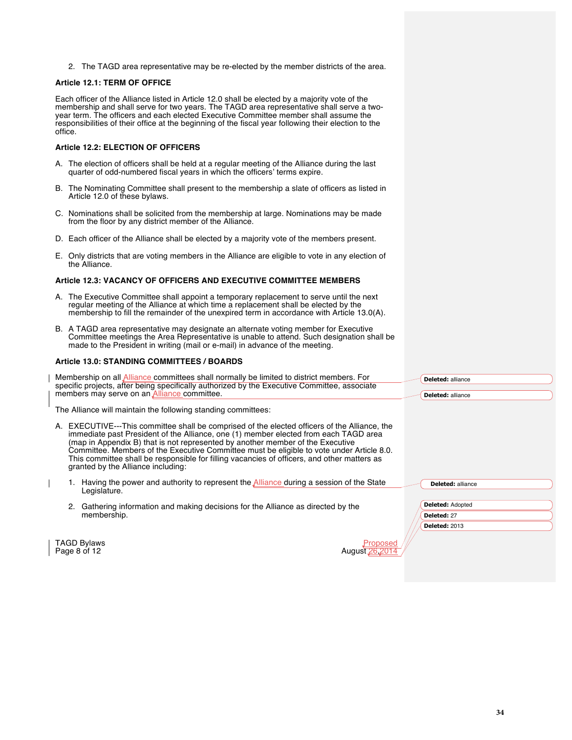2. The TAGD area representative may be re-elected by the member districts of the area.

#### **Article 12.1: TERM OF OFFICE**

Each officer of the Alliance listed in Article 12.0 shall be elected by a majority vote of the membership and shall serve for two years. The TAGD area representative shall serve a twoyear term. The officers and each elected Executive Committee member shall assume the responsibilities of their office at the beginning of the fiscal year following their election to the office.

#### **Article 12.2: ELECTION OF OFFICERS**

- A. The election of officers shall be held at a regular meeting of the Alliance during the last quarter of odd-numbered fiscal years in which the officers' terms expire.
- B. The Nominating Committee shall present to the membership a slate of officers as listed in Article 12.0 of these bylaws.
- C. Nominations shall be solicited from the membership at large. Nominations may be made from the floor by any district member of the Alliance.
- D. Each officer of the Alliance shall be elected by a majority vote of the members present.
- E. Only districts that are voting members in the Alliance are eligible to vote in any election of the Alliance.

#### **Article 12.3: VACANCY OF OFFICERS AND EXECUTIVE COMMITTEE MEMBERS**

- A. The Executive Committee shall appoint a temporary replacement to serve until the next regular meeting of the Alliance at which time a replacement shall be elected by the membership to fill the remainder of the unexpired term in accordance with Article 13.0(A).
- B. A TAGD area representative may designate an alternate voting member for Executive Committee meetings the Area Representative is unable to attend. Such designation shall be made to the President in writing (mail or e-mail) in advance of the meeting.

#### **Article 13.0: STANDING COMMITTEES / BOARDS**

| Membership on all Alliance committees shall normally be limited to district members. For     | <b>Deleted:</b> alliance |
|----------------------------------------------------------------------------------------------|--------------------------|
| specific projects, after being specifically authorized by the Executive Committee, associate |                          |
| members may serve on an Alliance committee.                                                  | <b>Deleted:</b> alliance |
| The Alliance will maintain the following standing committees:                                |                          |

The Alliance will maintain the following standing committees:

| A. EXECUTIVE---This committee shall be comprised of the elected officers of the Alliance, the |
|-----------------------------------------------------------------------------------------------|
| immediate past President of the Alliance, one (1) member elected from each TAGD area          |
| (map in Appendix B) that is not represented by another member of the Executive                |
| Committee. Members of the Executive Committee must be eligible to vote under Article 8.0.     |
| This committee shall be responsible for filling vacancies of officers, and other matters as   |
| granted by the Alliance including:                                                            |
|                                                                                               |

- 1. Having the power and authority to represent the **Alliance during a session of the State** Legislature.
- 2. Gathering information and making decisions for the Alliance as directed by the membership.

| Deleted: alliance    |  |
|----------------------|--|
| Deleted: Adopted     |  |
| Deleted: 27          |  |
| <b>Deleted: 2013</b> |  |

**TAGD Bylaws** Proposed Page 8 of  $12$ 

| August 2 |  |  |  |
|----------|--|--|--|
|          |  |  |  |
|          |  |  |  |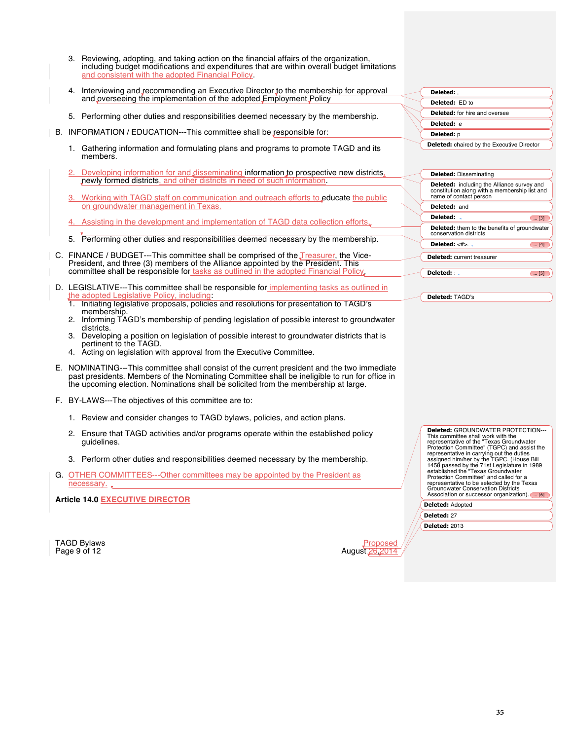- 3. Reviewing, adopting, and taking action on the financial affairs of the organization, including budget modifications and expenditures that are within overall budget limitations and consistent with the adopted Financial Policy.
- 4. Interviewing and recommending an Executive Director to the membership for approval and overseeing the implementation of the adopted Employment Policy
- 5. Performing other duties and responsibilities deemed necessary by the membership.
- B. INFORMATION / EDUCATION---This committee shall be responsible for:
	- 1. Gathering information and formulating plans and programs to promote TAGD and its members.
	- Developing information for and disseminating information to prospective new districts, newly formed districts, and other districts in need of such information.
	- 3. Working with TAGD staff on communication and outreach efforts to educate the public on groundwater management in Texas.
	- 4. Assisting in the development and implementation of TAGD data collection efforts.
	- 5. Performing other duties and responsibilities deemed necessary by the membership.
	- C. FINANCE / BUDGET---This committee shall be comprised of the *Treasurer*, the Vice-President, and three (3) members of the Alliance appointed by the President. This committee shall be responsible for tasks as outlined in the adopted Financial Policy
	- D. LEGISLATIVE---This committee shall be responsible for implementing tasks as outlined in lative Policy, includir
		- 1. Initiating legislative proposals, policies and resolutions for presentation to TAGD's membership.
		- 2. Informing TAGD's membership of pending legislation of possible interest to groundwater districts.
		- 3. Developing a position on legislation of possible interest to groundwater districts that is pertinent to the TAGD.
		- 4. Acting on legislation with approval from the Executive Committee.
	- E. NOMINATING---This committee shall consist of the current president and the two immediate past presidents. Members of the Nominating Committee shall be ineligible to run for office in the upcoming election. Nominations shall be solicited from the membership at large.
	- F. BY-LAWS---The objectives of this committee are to:
		- 1. Review and consider changes to TAGD bylaws, policies, and action plans.
		- 2. Ensure that TAGD activities and/or programs operate within the established policy guidelines.
		- 3. Perform other duties and responsibilities deemed necessary by the membership.
	- G. OTHER COMMITTEES---Other committees may be appointed by the President as necessary. .

**Article 14.0 EXECUTIVE DIRECTOR**



| Deleted: .                                        |  |
|---------------------------------------------------|--|
| Deleted: ED to                                    |  |
| <b>Deleted:</b> for hire and oversee              |  |
| Deleted: e                                        |  |
| Deleted: p                                        |  |
| <b>Deleted:</b> chaired by the Executive Director |  |
|                                                   |  |

| <b>Deleted: Disseminating</b>                                                                                                |                                                |
|------------------------------------------------------------------------------------------------------------------------------|------------------------------------------------|
| <b>Deleted:</b> including the Alliance survey and<br>constitution along with a membership list and<br>name of contact person |                                                |
| Deleted: and                                                                                                                 |                                                |
| Deleted:                                                                                                                     | [3]                                            |
| <b>Deleted:</b> them to the benefits of groundwater<br>conservation districts                                                |                                                |
| Deleted: $<\#$                                                                                                               | $\begin{bmatrix} 1 & 1 \\ 1 & 1 \end{bmatrix}$ |
| <b>Deleted:</b> current treasurer                                                                                            |                                                |
| Deleted: : .                                                                                                                 | [5                                             |

**Deleted:** TAGD's

**Deleted:** GROUNDWATER PROTECTION---<br>This committee shall work with the<br>representative of the "Texas Groundwater<br>Protection Committee" (TGPC) and assist the<br>representative in carrying out the duties<br>assigned him/her by the Protection Committee" and called for a representative to be selected by the Texas Groundwater Conservation Districts Association or successor organization).  $\boxed{... [6]}$ 

| Deleted: Adopted |  |
|------------------|--|

**Deleted:** 27

**Deleted:** 2013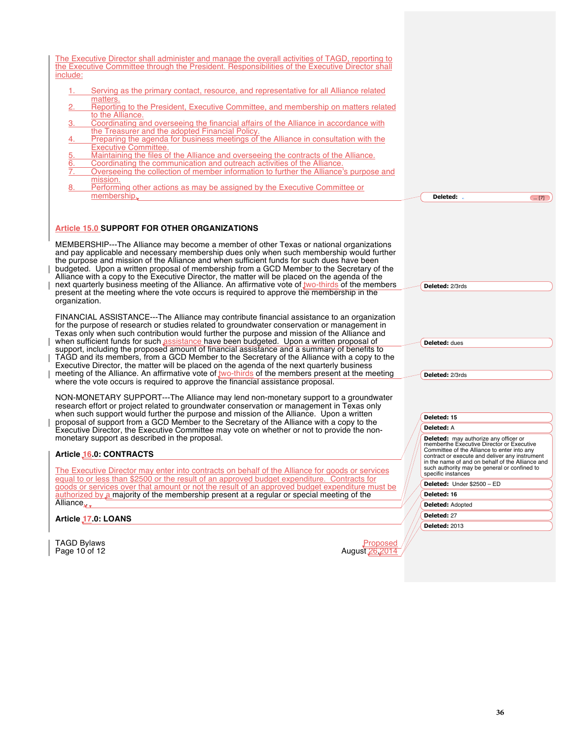| The Executive Director shall administer and manage the overall activities of TAGD, reporting to<br>the Executive Committee through the President. Responsibilities of the Executive Director shall<br>include:                                                                                                                                                                                                                                                                 |                                                                                                                                                   |
|--------------------------------------------------------------------------------------------------------------------------------------------------------------------------------------------------------------------------------------------------------------------------------------------------------------------------------------------------------------------------------------------------------------------------------------------------------------------------------|---------------------------------------------------------------------------------------------------------------------------------------------------|
| Serving as the primary contact, resource, and representative for all Alliance related<br>1.1<br>matters.                                                                                                                                                                                                                                                                                                                                                                       |                                                                                                                                                   |
| 2.<br>Reporting to the President, Executive Committee, and membership on matters related                                                                                                                                                                                                                                                                                                                                                                                       |                                                                                                                                                   |
| to the Alliance.<br>Coordinating and overseeing the financial affairs of the Alliance in accordance with<br>3.                                                                                                                                                                                                                                                                                                                                                                 |                                                                                                                                                   |
| the Treasurer and the adopted Financial Policy.<br>Preparing the agenda for business meetings of the Alliance in consultation with the<br>4.                                                                                                                                                                                                                                                                                                                                   |                                                                                                                                                   |
| <b>Executive Committee.</b>                                                                                                                                                                                                                                                                                                                                                                                                                                                    |                                                                                                                                                   |
| Maintaining the files of the Alliance and overseeing the contracts of the Alliance.<br>5.<br>6.<br>Coordinating the communication and outreach activities of the Alliance.                                                                                                                                                                                                                                                                                                     |                                                                                                                                                   |
| 7.<br>Overseeing the collection of member information to further the Alliance's purpose and<br>mission.                                                                                                                                                                                                                                                                                                                                                                        |                                                                                                                                                   |
| Performing other actions as may be assigned by the Executive Committee or<br>8.<br>membership.                                                                                                                                                                                                                                                                                                                                                                                 | Deleted: .<br>$\bigcirc$ [7]                                                                                                                      |
|                                                                                                                                                                                                                                                                                                                                                                                                                                                                                |                                                                                                                                                   |
|                                                                                                                                                                                                                                                                                                                                                                                                                                                                                |                                                                                                                                                   |
| Article 15.0 SUPPORT FOR OTHER ORGANIZATIONS                                                                                                                                                                                                                                                                                                                                                                                                                                   |                                                                                                                                                   |
| MEMBERSHIP---The Alliance may become a member of other Texas or national organizations<br>and pay applicable and necessary membership dues only when such membership would further<br>the purpose and mission of the Alliance and when sufficient funds for such dues have been<br>budgeted. Upon a written proposal of membership from a GCD Member to the Secretary of the<br>Alliance with a copy to the Executive Director, the matter will be placed on the agenda of the |                                                                                                                                                   |
| next quarterly business meeting of the Alliance. An affirmative vote of two-thirds of the members<br>present at the meeting where the vote occurs is required to approve the membership in the                                                                                                                                                                                                                                                                                 | Deleted: 2/3rds                                                                                                                                   |
| organization.                                                                                                                                                                                                                                                                                                                                                                                                                                                                  |                                                                                                                                                   |
| FINANCIAL ASSISTANCE---The Alliance may contribute financial assistance to an organization<br>for the purpose of research or studies related to groundwater conservation or management in<br>Texas only when such contribution would further the purpose and mission of the Alliance and                                                                                                                                                                                       |                                                                                                                                                   |
| when sufficient funds for such assistance have been budgeted. Upon a written proposal of<br>support, including the proposed amount of financial assistance and a summary of benefits to                                                                                                                                                                                                                                                                                        | <b>Deleted: dues</b>                                                                                                                              |
| TAGD and its members, from a GCD Member to the Secretary of the Alliance with a copy to the<br>Executive Director, the matter will be placed on the agenda of the next quarterly business                                                                                                                                                                                                                                                                                      |                                                                                                                                                   |
| meeting of the Alliance. An affirmative vote of two-thirds of the members present at the meeting                                                                                                                                                                                                                                                                                                                                                                               | Deleted: 2/3rds                                                                                                                                   |
| where the vote occurs is required to approve the financial assistance proposal.                                                                                                                                                                                                                                                                                                                                                                                                |                                                                                                                                                   |
| NON-MONETARY SUPPORT---The Alliance may lend non-monetary support to a groundwater<br>research effort or project related to groundwater conservation or management in Texas only                                                                                                                                                                                                                                                                                               |                                                                                                                                                   |
| when such support would further the purpose and mission of the Alliance. Upon a written<br>proposal of support from a GCD Member to the Secretary of the Alliance with a copy to the                                                                                                                                                                                                                                                                                           | Deleted: 15                                                                                                                                       |
| Executive Director, the Executive Committee may vote on whether or not to provide the non-                                                                                                                                                                                                                                                                                                                                                                                     | Deleted: A                                                                                                                                        |
| monetary support as described in the proposal.                                                                                                                                                                                                                                                                                                                                                                                                                                 | <b>Deleted:</b> may authorize any officer or<br>memberthe Executive Director or Executive                                                         |
| Article 16.0: CONTRACTS                                                                                                                                                                                                                                                                                                                                                                                                                                                        | Committee of the Alliance to enter into any<br>contract or execute and deliver any instrument<br>in the name of and on behalf of the Alliance and |
| The Executive Director may enter into contracts on behalf of the Alliance for goods or services                                                                                                                                                                                                                                                                                                                                                                                | such authority may be general or confined to<br>specific instances                                                                                |
| equal to or less than \$2500 or the result of an approved budget expenditure. Contracts for<br>goods or services over that amount or not the result of an approved budget expenditure must be                                                                                                                                                                                                                                                                                  | Deleted: Under \$2500 - ED                                                                                                                        |
| authorized by a majority of the membership present at a regular or special meeting of the<br>Alliance                                                                                                                                                                                                                                                                                                                                                                          | Deleted: 16                                                                                                                                       |
|                                                                                                                                                                                                                                                                                                                                                                                                                                                                                | <b>Deleted: Adopted</b>                                                                                                                           |
| Article 17.0: LOANS                                                                                                                                                                                                                                                                                                                                                                                                                                                            | Deleted: 27<br><b>Deleted: 2013</b>                                                                                                               |
|                                                                                                                                                                                                                                                                                                                                                                                                                                                                                |                                                                                                                                                   |
| <b>TAGD Bylaws</b><br>Proposed                                                                                                                                                                                                                                                                                                                                                                                                                                                 |                                                                                                                                                   |
| Page 10 of 12<br>August 26, 2014                                                                                                                                                                                                                                                                                                                                                                                                                                               |                                                                                                                                                   |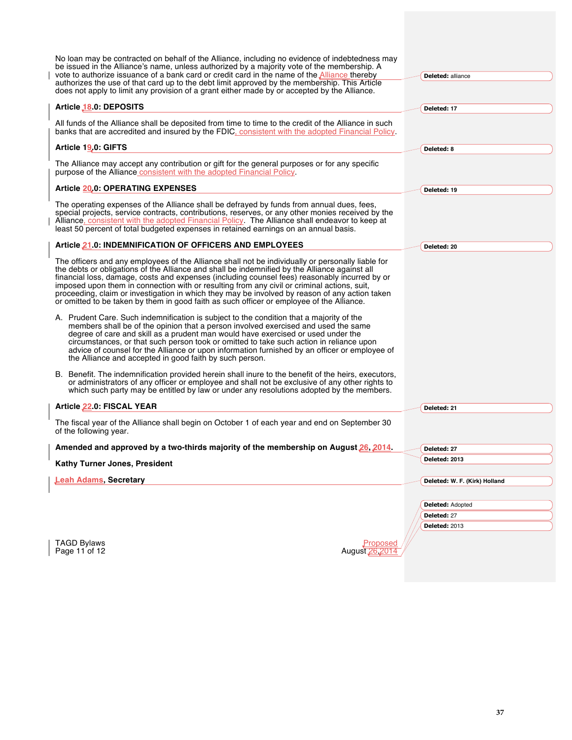| No loan may be contracted on behalf of the Alliance, including no evidence of indebtedness may<br>be issued in the Alliance's name, unless authorized by a majority vote of the membership. A<br>vote to authorize issuance of a bank card or credit card in the name of the <b>Alliance</b> thereby<br>authorizes the use of that card up to the debt limit approved by the membership. This Article<br>does not apply to limit any provision of a grant either made by or accepted by the Alliance.                                                                                                                                                                                         | <b>Deleted: alliance</b>      |
|-----------------------------------------------------------------------------------------------------------------------------------------------------------------------------------------------------------------------------------------------------------------------------------------------------------------------------------------------------------------------------------------------------------------------------------------------------------------------------------------------------------------------------------------------------------------------------------------------------------------------------------------------------------------------------------------------|-------------------------------|
| Article 18.0: DEPOSITS                                                                                                                                                                                                                                                                                                                                                                                                                                                                                                                                                                                                                                                                        | Deleted: 17                   |
| All funds of the Alliance shall be deposited from time to time to the credit of the Alliance in such<br>banks that are accredited and insured by the FDIC, consistent with the adopted Financial Policy.                                                                                                                                                                                                                                                                                                                                                                                                                                                                                      |                               |
| Article 19.0: GIFTS                                                                                                                                                                                                                                                                                                                                                                                                                                                                                                                                                                                                                                                                           | Deleted: 8                    |
| The Alliance may accept any contribution or gift for the general purposes or for any specific<br>purpose of the Alliance consistent with the adopted Financial Policy                                                                                                                                                                                                                                                                                                                                                                                                                                                                                                                         |                               |
| Article 20.0: OPERATING EXPENSES                                                                                                                                                                                                                                                                                                                                                                                                                                                                                                                                                                                                                                                              | Deleted: 19                   |
| The operating expenses of the Alliance shall be defrayed by funds from annual dues, fees,<br>special projects, service contracts, contributions, reserves, or any other monies received by the<br>Alliance, consistent with the adopted Financial Policy. The Alliance shall endeavor to keep at<br>least 50 percent of total budgeted expenses in retained earnings on an annual basis.                                                                                                                                                                                                                                                                                                      |                               |
| Article 21.0: INDEMNIFICATION OF OFFICERS AND EMPLOYEES                                                                                                                                                                                                                                                                                                                                                                                                                                                                                                                                                                                                                                       | Deleted: 20                   |
| The officers and any employees of the Alliance shall not be individually or personally liable for<br>the debts or obligations of the Alliance and shall be indemnified by the Alliance against all<br>financial loss, damage, costs and expenses (including counsel fees) reasonably incurred by or<br>imposed upon them in connection with or resulting from any civil or criminal actions, suit,<br>proceeding, claim or investigation in which they may be involved by reason of any action taken<br>or omitted to be taken by them in good faith as such officer or employee of the Alliance.<br>A. Prudent Care. Such indemnification is subject to the condition that a majority of the |                               |
| members shall be of the opinion that a person involved exercised and used the same<br>degree of care and skill as a prudent man would have exercised or used under the<br>circumstances, or that such person took or omitted to take such action in reliance upon<br>advice of counsel for the Alliance or upon information furnished by an officer or employee of<br>the Alliance and accepted in good faith by such person.                                                                                                                                                                                                                                                                 |                               |
| B. Benefit. The indemnification provided herein shall inure to the benefit of the heirs, executors,<br>or administrators of any officer or employee and shall not be exclusive of any other rights to<br>which such party may be entitled by law or under any resolutions adopted by the members.                                                                                                                                                                                                                                                                                                                                                                                             |                               |
| Article 22.0: FISCAL YEAR                                                                                                                                                                                                                                                                                                                                                                                                                                                                                                                                                                                                                                                                     | Deleted: 21                   |
| The fiscal year of the Alliance shall begin on October 1 of each year and end on September 30<br>of the following year.                                                                                                                                                                                                                                                                                                                                                                                                                                                                                                                                                                       |                               |
| Amended and approved by a two-thirds majority of the membership on August 26, 2014.                                                                                                                                                                                                                                                                                                                                                                                                                                                                                                                                                                                                           | Deleted: 27                   |
| Kathy Turner Jones, President                                                                                                                                                                                                                                                                                                                                                                                                                                                                                                                                                                                                                                                                 | Deleted: 2013                 |
| <b>Leah Adams, Secretary</b>                                                                                                                                                                                                                                                                                                                                                                                                                                                                                                                                                                                                                                                                  | Deleted: W. F. (Kirk) Holland |
|                                                                                                                                                                                                                                                                                                                                                                                                                                                                                                                                                                                                                                                                                               |                               |
|                                                                                                                                                                                                                                                                                                                                                                                                                                                                                                                                                                                                                                                                                               | Deleted: Adopted              |
|                                                                                                                                                                                                                                                                                                                                                                                                                                                                                                                                                                                                                                                                                               | Deleted: 27                   |
|                                                                                                                                                                                                                                                                                                                                                                                                                                                                                                                                                                                                                                                                                               | <b>Deleted: 2013</b>          |
| <b>TAGD Bylaws</b><br>Page 11 of 12                                                                                                                                                                                                                                                                                                                                                                                                                                                                                                                                                                                                                                                           | Proposed<br>August 26, 2014   |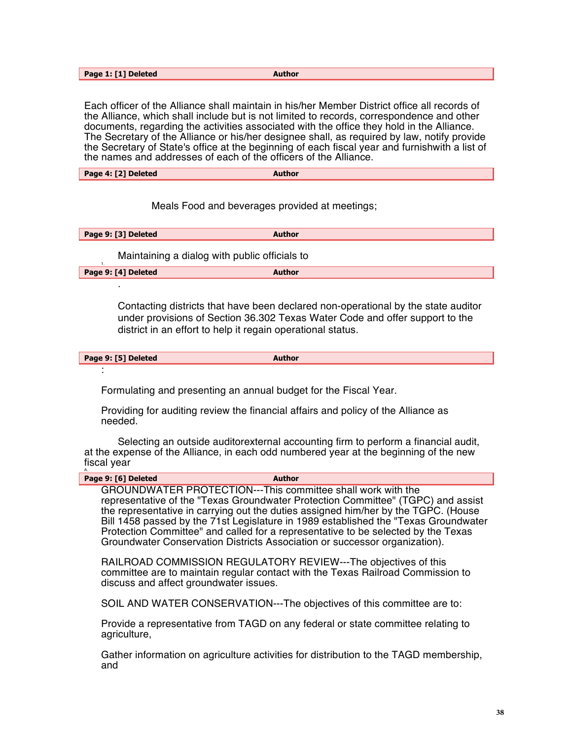| Page 1: [1] Deleted | <b>Author</b> |
|---------------------|---------------|

Each officer of the Alliance shall maintain in his/her Member District office all records of the Alliance, which shall include but is not limited to records, correspondence and other documents, regarding the activities associated with the office they hold in the Alliance. The Secretary of the Alliance or his/her designee shall, as required by law, notify provide the Secretary of State's office at the beginning of each fiscal year and furnishwith a list of the names and addresses of each of the officers of the Alliance.

#### Meals Food and beverages provided at meetings;

| Page 9: [3] Deleted | <b>Author</b> |
|---------------------|---------------|
|                     |               |

Maintaining a dialog with public officials to

**Page 9: [4] Deleted Author** 

.

Contacting districts that have been declared non-operational by the state auditor under provisions of Section 36.302 Texas Water Code and offer support to the district in an effort to help it regain operational status.

| Page 9: [5] Deleted | Author |
|---------------------|--------|
|                     |        |
|                     |        |

Formulating and presenting an annual budget for the Fiscal Year.

Providing for auditing review the financial affairs and policy of the Alliance as needed.

Selecting an outside auditorexternal accounting firm to perform a financial audit, at the expense of the Alliance, in each odd numbered year at the beginning of the new fiscal year A.

| Page 9: [6] Deleted                    | Author                                                                                                                                                                                                                                                                                                                                                                                                                                                                                          |  |
|----------------------------------------|-------------------------------------------------------------------------------------------------------------------------------------------------------------------------------------------------------------------------------------------------------------------------------------------------------------------------------------------------------------------------------------------------------------------------------------------------------------------------------------------------|--|
|                                        | GROUNDWATER PROTECTION---This committee shall work with the<br>representative of the "Texas Groundwater Protection Committee" (TGPC) and assist<br>the representative in carrying out the duties assigned him/her by the TGPC. (House<br>Bill 1458 passed by the 71st Legislature in 1989 established the "Texas Groundwater<br>Protection Committee" and called for a representative to be selected by the Texas<br>Groundwater Conservation Districts Association or successor organization). |  |
| discuss and affect groundwater issues. | RAILROAD COMMISSION REGULATORY REVIEW---The objectives of this<br>committee are to maintain regular contact with the Texas Railroad Commission to                                                                                                                                                                                                                                                                                                                                               |  |
|                                        | SOIL AND WATER CONSERVATION---The objectives of this committee are to:                                                                                                                                                                                                                                                                                                                                                                                                                          |  |
| agriculture,                           | Provide a representative from TAGD on any federal or state committee relating to                                                                                                                                                                                                                                                                                                                                                                                                                |  |

Gather information on agriculture activities for distribution to the TAGD membership, and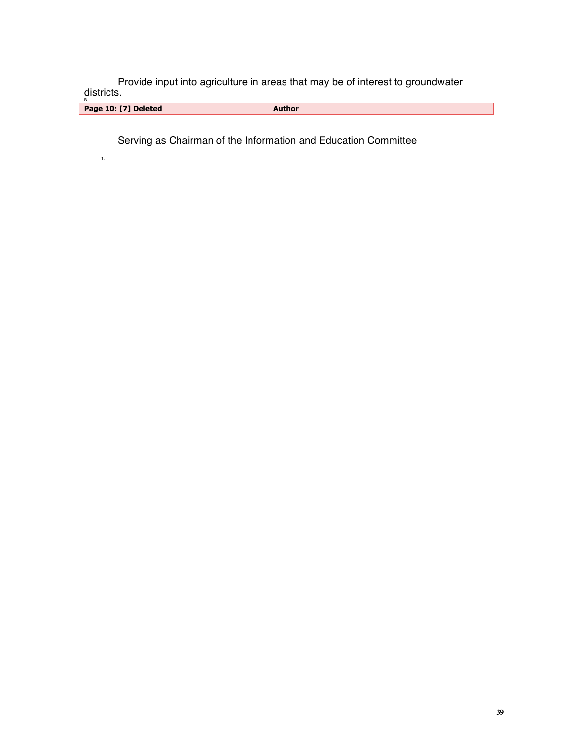Provide input into agriculture in areas that may be of interest to groundwater districts.

<sub>B.</sub><br>Page 10: [7] Deleted **Author** 

Serving as Chairman of the Information and Education Committee

1.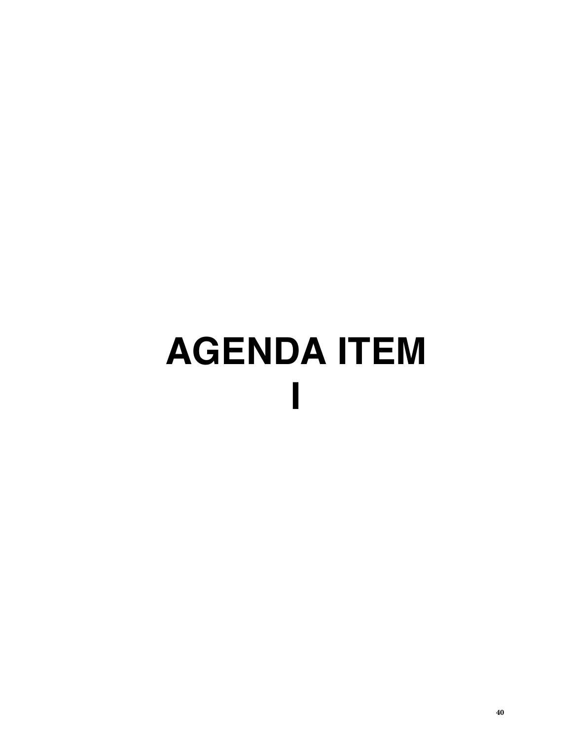# **AGENDA ITEM I**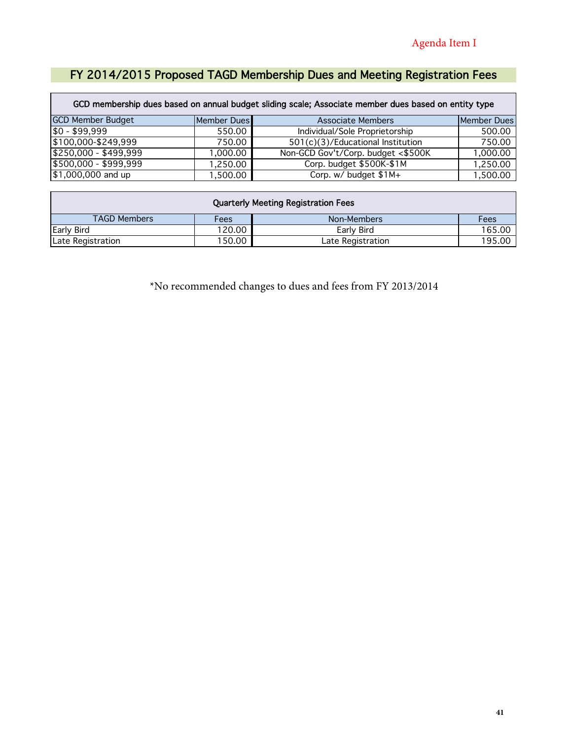# FY 2014/2015 Proposed TAGD Membership Dues and Meeting Registration Fees

| GCD membership dues based on annual budget sliding scale; Associate member dues based on entity type |             |                                    |             |  |  |  |  |
|------------------------------------------------------------------------------------------------------|-------------|------------------------------------|-------------|--|--|--|--|
| <b>GCD Member Budget</b>                                                                             | Member Dues | <b>Associate Members</b>           | Member Dues |  |  |  |  |
| \$0 - \$99,999                                                                                       | 550.00      | Individual/Sole Proprietorship     | 500.00      |  |  |  |  |
| $$100,000 - $249,999$                                                                                | 750.00      | 501(c)(3)/Educational Institution  | 750.00      |  |  |  |  |
| $$250,000 - $499,999$                                                                                | 1,000.00    | Non-GCD Gov't/Corp. budget <\$500K | 1,000.00    |  |  |  |  |
| $$500,000 - $999,999$                                                                                | 1,250.00    | Corp. budget \$500K-\$1M           | 1,250.00    |  |  |  |  |
| $$1,000,000$ and up                                                                                  | 1,500.00    | Corp. w/ budget $\sqrt{$1M+}$      | 1,500.00    |  |  |  |  |

| <b>Quarterly Meeting Registration Fees</b> |                                       |  |  |  |  |  |  |
|--------------------------------------------|---------------------------------------|--|--|--|--|--|--|
| <b>TAGD Members</b>                        | Fees<br>Non-Members<br>Fees           |  |  |  |  |  |  |
| Early Bird                                 | 120.00<br>Early Bird<br>165.00        |  |  |  |  |  |  |
| Late Registration                          | 150.00<br>195.00<br>Late Registration |  |  |  |  |  |  |

\*No recommended changes to dues and fees from FY 2013/2014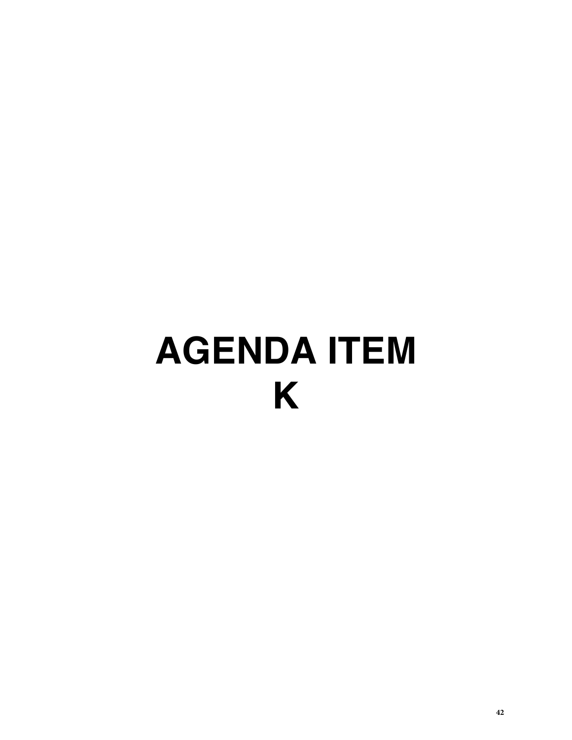# **AGENDA ITEM K**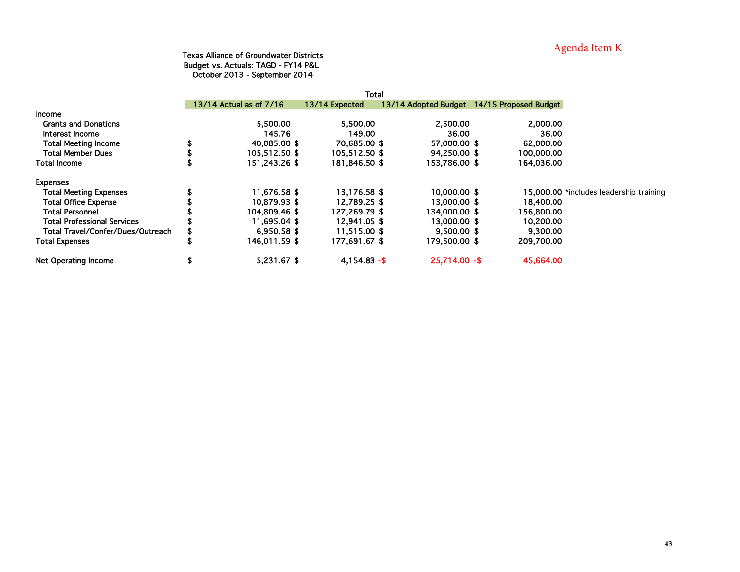# Agenda Item K

#### Texas Alliance of Groundwater Districts Budget vs. Actuals: TAGD - FY14 P&L October 2013 - September 2014

|                                    |    |                         | Total           |                 |                                            |
|------------------------------------|----|-------------------------|-----------------|-----------------|--------------------------------------------|
|                                    |    | 13/14 Actual as of 7/16 | 13/14 Expected  |                 | 13/14 Adopted Budget 14/15 Proposed Budget |
| <b>Income</b>                      |    |                         |                 |                 |                                            |
| <b>Grants and Donations</b>        |    | 5,500.00                | 5,500.00        | 2,500.00        | 2,000.00                                   |
| Interest Income                    |    | 145.76                  | 149.00          | 36.00           | 36.00                                      |
| <b>Total Meeting Income</b>        | \$ | 40,085,00 \$            | 70.685.00 \$    | 57,000.00 \$    | 62,000,00                                  |
| <b>Total Member Dues</b>           |    | 105.512.50 \$           | 105,512,50 \$   | 94,250,00 \$    | 100.000.00                                 |
| <b>Total Income</b>                |    | 151,243.26 \$           | 181,846.50 \$   | 153,786.00 \$   | 164,036.00                                 |
| <b>Expenses</b>                    |    |                         |                 |                 |                                            |
| <b>Total Meeting Expenses</b>      |    | 11,676.58 \$            | 13,176.58 \$    | 10,000.00 \$    | 15,000.00 *includes leadership training    |
| <b>Total Office Expense</b>        |    | 10,879.93 \$            | 12.789.25 \$    | 13,000.00 \$    | 18,400.00                                  |
| <b>Total Personnel</b>             |    | 104,809.46 \$           | 127.269.79 \$   | 134,000.00 \$   | 156,800.00                                 |
| <b>Total Professional Services</b> |    | 11.695.04 \$            | 12.941.05 \$    | 13,000.00 \$    | 10,200,00                                  |
| Total Travel/Confer/Dues/Outreach  |    | 6.950.58 \$             | 11.515.00 \$    | $9,500.00$ \$   | 9.300.00                                   |
| <b>Total Expenses</b>              | Ъ  | 146.011.59 \$           | 177,691.67 \$   | 179,500.00 \$   | 209,700.00                                 |
| <b>Net Operating Income</b>        | \$ | 5,231.67 \$             | $4.154.83 -$ \$ | $25.714.00 - $$ | 45,664.00                                  |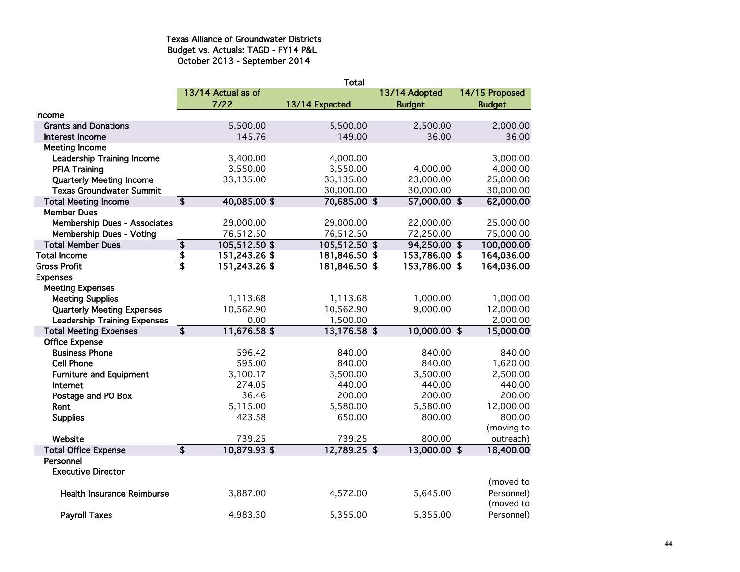### Texas Alliance of Groundwater Districts Budget vs. Actuals: TAGD - FY14 P&L October 2013 - September 2014

|                                     |                         |                    | Total          |               |                |
|-------------------------------------|-------------------------|--------------------|----------------|---------------|----------------|
|                                     |                         | 13/14 Actual as of |                | 13/14 Adopted | 14/15 Proposed |
|                                     |                         | $7/22$             | 13/14 Expected | <b>Budget</b> | <b>Budget</b>  |
| Income                              |                         |                    |                |               |                |
| <b>Grants and Donations</b>         |                         | 5,500.00           | 5,500.00       | 2,500.00      | 2,000.00       |
| Interest Income                     |                         | 145.76             | 149.00         | 36.00         | 36.00          |
| <b>Meeting Income</b>               |                         |                    |                |               |                |
| <b>Leadership Training Income</b>   |                         | 3,400.00           | 4,000.00       |               | 3,000.00       |
| <b>PFIA Training</b>                |                         | 3,550.00           | 3,550.00       | 4,000.00      | 4,000.00       |
| <b>Quarterly Meeting Income</b>     |                         | 33,135.00          | 33,135.00      | 23,000.00     | 25,000.00      |
| <b>Texas Groundwater Summit</b>     |                         |                    | 30,000.00      | 30,000.00     | 30,000.00      |
| <b>Total Meeting Income</b>         | $\overline{\mathbf{s}}$ | 40,085.00\$        | 70,685.00 \$   | 57,000.00 \$  | 62,000.00      |
| <b>Member Dues</b>                  |                         |                    |                |               |                |
| <b>Membership Dues - Associates</b> |                         | 29,000.00          | 29,000.00      | 22,000.00     | 25,000.00      |
| Membership Dues - Voting            |                         | 76,512.50          | 76,512.50      | 72,250.00     | 75,000.00      |
| <b>Total Member Dues</b>            | $\overline{\mathbf{3}}$ | $105,512.50$ \$    | 105,512.50 \$  | 94,250.00 \$  | 100,000.00     |
| <b>Total Income</b>                 | $\frac{1}{3}$           | 151,243.26\$       | 181,846.50 \$  | 153,786.00 \$ | 164,036.00     |
| <b>Gross Profit</b>                 |                         | 151,243.26\$       | 181,846.50 \$  | 153,786.00 \$ | 164,036.00     |
| <b>Expenses</b>                     |                         |                    |                |               |                |
| <b>Meeting Expenses</b>             |                         |                    |                |               |                |
| <b>Meeting Supplies</b>             |                         | 1,113.68           | 1,113.68       | 1,000.00      | 1,000.00       |
| <b>Quarterly Meeting Expenses</b>   |                         | 10,562.90          | 10,562.90      | 9,000.00      | 12,000.00      |
| <b>Leadership Training Expenses</b> |                         | 0.00               | 1,500.00       |               | 2,000.00       |
| <b>Total Meeting Expenses</b>       | $\overline{\mathbf{s}}$ | 11,676.58 \$       | 13,176.58 \$   | 10,000.00 \$  | 15,000.00      |
| <b>Office Expense</b>               |                         |                    |                |               |                |
| <b>Business Phone</b>               |                         | 596.42             | 840.00         | 840.00        | 840.00         |
| <b>Cell Phone</b>                   |                         | 595.00             | 840.00         | 840.00        | 1,620.00       |
| <b>Furniture and Equipment</b>      |                         | 3,100.17           | 3,500.00       | 3,500.00      | 2,500.00       |
| Internet                            |                         | 274.05             | 440.00         | 440.00        | 440.00         |
| Postage and PO Box                  |                         | 36.46              | 200.00         | 200.00        | 200.00         |
| Rent                                |                         | 5,115.00           | 5,580.00       | 5,580.00      | 12,000.00      |
| <b>Supplies</b>                     |                         | 423.58             | 650.00         | 800.00        | 800.00         |
|                                     |                         |                    |                |               | (moving to     |
| Website                             |                         | 739.25             | 739.25         | 800.00        | outreach)      |
| <b>Total Office Expense</b>         | $\overline{\mathbf{s}}$ | 10,879.93\$        | 12,789.25 \$   | 13,000.00 \$  | 18,400.00      |
| Personnel                           |                         |                    |                |               |                |
| <b>Executive Director</b>           |                         |                    |                |               | (moved to      |
| <b>Health Insurance Reimburse</b>   |                         | 3,887.00           | 4,572.00       | 5,645.00      | Personnel)     |
|                                     |                         |                    |                |               | (moved to      |
| <b>Payroll Taxes</b>                |                         | 4,983.30           | 5,355.00       | 5,355.00      | Personnel)     |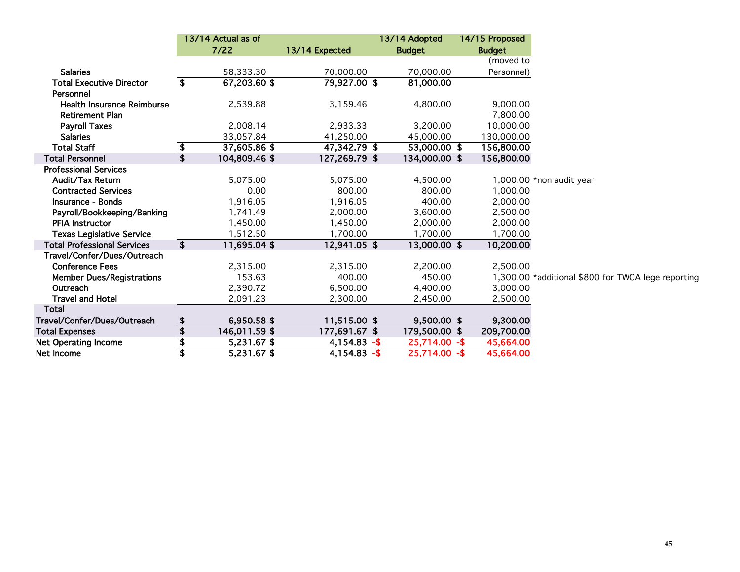|                                    |                                      | 13/14 Actual as of |                | 13/14 Adopted   | 14/15 Proposed |                                                    |
|------------------------------------|--------------------------------------|--------------------|----------------|-----------------|----------------|----------------------------------------------------|
|                                    |                                      | $7/22$             | 13/14 Expected | <b>Budget</b>   | <b>Budget</b>  |                                                    |
|                                    |                                      |                    |                |                 | (moved to      |                                                    |
| <b>Salaries</b>                    |                                      | 58,333.30          | 70,000.00      | 70,000.00       | Personnel)     |                                                    |
| <b>Total Executive Director</b>    | \$                                   | 67,203.60 \$       | 79,927.00 \$   | 81,000.00       |                |                                                    |
| Personnel                          |                                      |                    |                |                 |                |                                                    |
| <b>Health Insurance Reimburse</b>  |                                      | 2,539.88           | 3,159.46       | 4,800.00        | 9,000.00       |                                                    |
| <b>Retirement Plan</b>             |                                      |                    |                |                 | 7,800.00       |                                                    |
| <b>Payroll Taxes</b>               |                                      | 2,008.14           | 2,933.33       | 3,200.00        | 10,000.00      |                                                    |
| <b>Salaries</b>                    |                                      | 33,057.84          | 41,250.00      | 45,000.00       | 130,000.00     |                                                    |
| <b>Total Staff</b>                 | $\overline{\boldsymbol{\mathsf{s}}}$ | 37,605.86 \$       | 47,342.79 \$   | 53,000.00 \$    | 156,800.00     |                                                    |
| <b>Total Personnel</b>             | $\overline{\mathbf{s}}$              | 104,809.46 \$      | 127,269.79 \$  | 134,000.00 \$   | 156,800.00     |                                                    |
| <b>Professional Services</b>       |                                      |                    |                |                 |                |                                                    |
| Audit/Tax Return                   |                                      | 5,075.00           | 5,075.00       | 4,500.00        |                | 1,000.00 *non audit year                           |
| <b>Contracted Services</b>         |                                      | 0.00               | 800.00         | 800.00          | 1,000.00       |                                                    |
| <b>Insurance - Bonds</b>           |                                      | 1,916.05           | 1,916.05       | 400.00          | 2,000.00       |                                                    |
| Payroll/Bookkeeping/Banking        |                                      | 1,741.49           | 2,000.00       | 3,600.00        | 2,500.00       |                                                    |
| <b>PFIA Instructor</b>             |                                      | 1,450.00           | 1,450.00       | 2,000.00        | 2,000.00       |                                                    |
| <b>Texas Legislative Service</b>   |                                      | 1,512.50           | 1,700.00       | 1,700.00        | 1,700.00       |                                                    |
| <b>Total Professional Services</b> | $\overline{\mathbf{3}}$              | 11,695.04 \$       | 12,941.05 \$   | 13,000.00 \$    | 10,200.00      |                                                    |
| Travel/Confer/Dues/Outreach        |                                      |                    |                |                 |                |                                                    |
| <b>Conference Fees</b>             |                                      | 2,315.00           | 2,315.00       | 2,200.00        | 2,500.00       |                                                    |
| <b>Member Dues/Registrations</b>   |                                      | 153.63             | 400.00         | 450.00          |                | 1,300.00 *additional \$800 for TWCA lege reporting |
| Outreach                           |                                      | 2,390.72           | 6,500.00       | 4,400.00        | 3,000.00       |                                                    |
| <b>Travel and Hotel</b>            |                                      | 2,091.23           | 2,300.00       | 2,450.00        | 2,500.00       |                                                    |
| Total                              |                                      |                    |                |                 |                |                                                    |
| Travel/Confer/Dues/Outreach        | \$                                   | 6,950.58 \$        | 11,515.00 \$   | 9,500.00 \$     | 9,300.00       |                                                    |
| <b>Total Expenses</b>              | $\overline{\textbf{\$}}$             | 146,011.59 \$      | 177,691.67 \$  | 179,500.00 \$   | 209,700.00     |                                                    |
| <b>Net Operating Income</b>        | \$                                   | $5,231.67$ \$      | $4,154.83 - $$ | $25,714.00 - $$ | 45,664.00      |                                                    |
| Net Income                         |                                      | 5,231.67\$         | $4,154.83 - $$ | $25,714.00 - $$ | 45,664.00      |                                                    |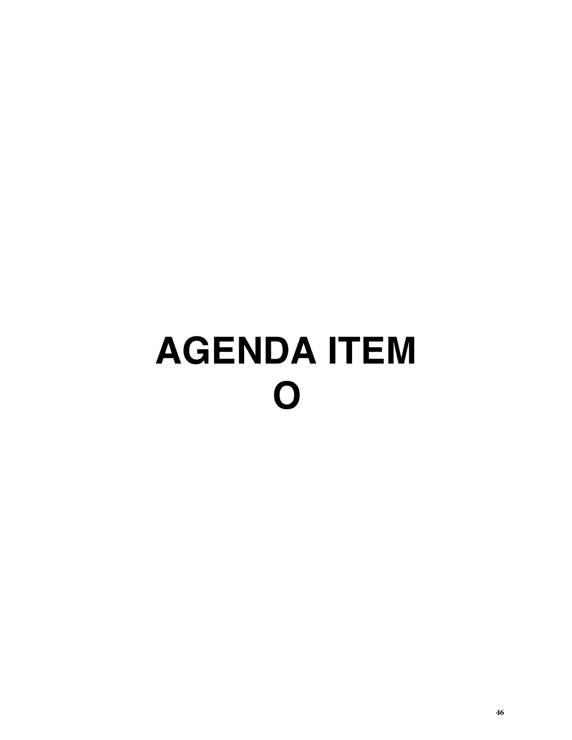# **AGENDA ITEM O**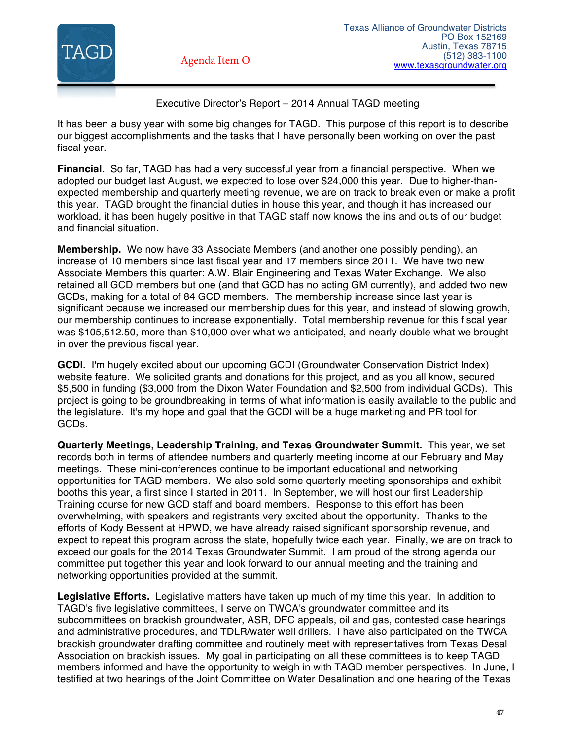

# Executive Director's Report – 2014 Annual TAGD meeting

It has been a busy year with some big changes for TAGD. This purpose of this report is to describe our biggest accomplishments and the tasks that I have personally been working on over the past fiscal year.

**Financial.** So far, TAGD has had a very successful year from a financial perspective. When we adopted our budget last August, we expected to lose over \$24,000 this year. Due to higher-thanexpected membership and quarterly meeting revenue, we are on track to break even or make a profit this year. TAGD brought the financial duties in house this year, and though it has increased our workload, it has been hugely positive in that TAGD staff now knows the ins and outs of our budget and financial situation.

**Membership.** We now have 33 Associate Members (and another one possibly pending), an increase of 10 members since last fiscal year and 17 members since 2011. We have two new Associate Members this quarter: A.W. Blair Engineering and Texas Water Exchange. We also retained all GCD members but one (and that GCD has no acting GM currently), and added two new GCDs, making for a total of 84 GCD members. The membership increase since last year is significant because we increased our membership dues for this year, and instead of slowing growth, our membership continues to increase exponentially. Total membership revenue for this fiscal year was \$105,512.50, more than \$10,000 over what we anticipated, and nearly double what we brought in over the previous fiscal year.

**GCDI.** I'm hugely excited about our upcoming GCDI (Groundwater Conservation District Index) website feature. We solicited grants and donations for this project, and as you all know, secured \$5,500 in funding (\$3,000 from the Dixon Water Foundation and \$2,500 from individual GCDs). This project is going to be groundbreaking in terms of what information is easily available to the public and the legislature. It's my hope and goal that the GCDI will be a huge marketing and PR tool for GCDs.

**Quarterly Meetings, Leadership Training, and Texas Groundwater Summit.** This year, we set records both in terms of attendee numbers and quarterly meeting income at our February and May meetings. These mini-conferences continue to be important educational and networking opportunities for TAGD members. We also sold some quarterly meeting sponsorships and exhibit booths this year, a first since I started in 2011. In September, we will host our first Leadership Training course for new GCD staff and board members. Response to this effort has been overwhelming, with speakers and registrants very excited about the opportunity. Thanks to the efforts of Kody Bessent at HPWD, we have already raised significant sponsorship revenue, and expect to repeat this program across the state, hopefully twice each year. Finally, we are on track to exceed our goals for the 2014 Texas Groundwater Summit. I am proud of the strong agenda our committee put together this year and look forward to our annual meeting and the training and networking opportunities provided at the summit.

**Legislative Efforts.** Legislative matters have taken up much of my time this year. In addition to TAGD's five legislative committees, I serve on TWCA's groundwater committee and its subcommittees on brackish groundwater, ASR, DFC appeals, oil and gas, contested case hearings and administrative procedures, and TDLR/water well drillers. I have also participated on the TWCA brackish groundwater drafting committee and routinely meet with representatives from Texas Desal Association on brackish issues. My goal in participating on all these committees is to keep TAGD members informed and have the opportunity to weigh in with TAGD member perspectives. In June, I testified at two hearings of the Joint Committee on Water Desalination and one hearing of the Texas